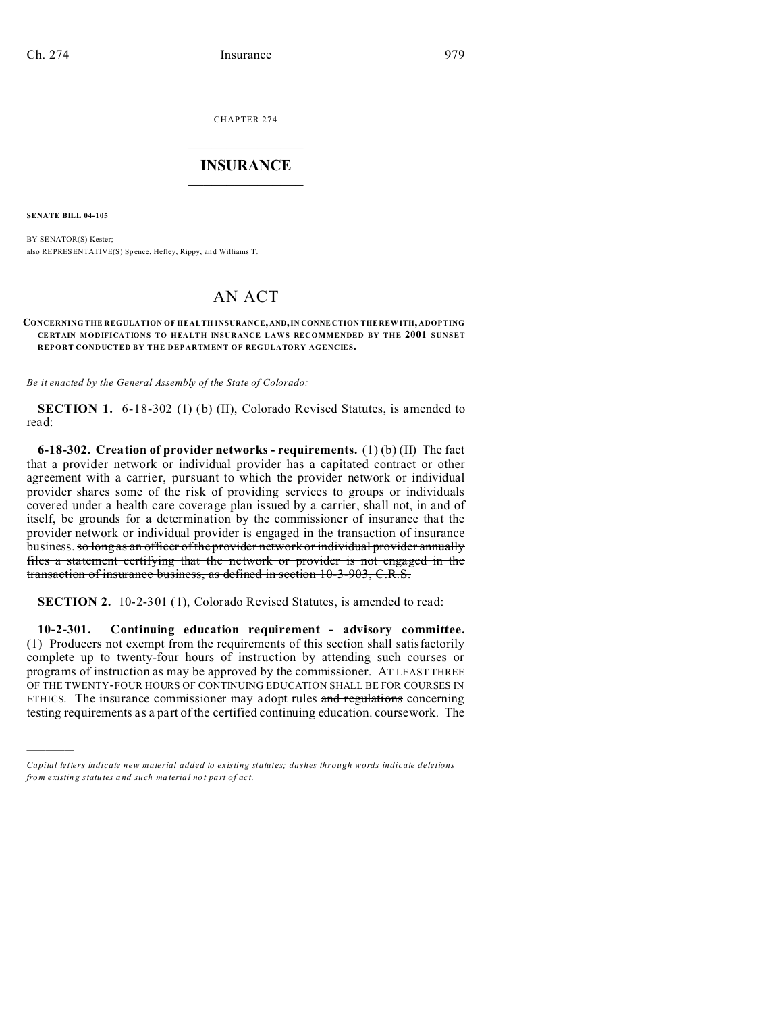CHAPTER 274  $\overline{\phantom{a}}$  , where  $\overline{\phantom{a}}$ 

#### **INSURANCE**  $\_$   $\_$   $\_$   $\_$   $\_$   $\_$   $\_$   $\_$

**SENATE BILL 04-105**

)))))

BY SENATOR(S) Kester; also REPRESENTATIVE(S) Sp ence, Hefley, Rippy, an d Williams T.

# AN ACT

#### **CONCERNING THE REGULATION OF HEALTH INSURANCE, AND, IN CONNE CTION THE REW ITH, ADOPTING CE RTAIN MODIFICATIONS TO HEALTH INSURANCE LAWS RECOMMENDED BY THE 2001 SUNSET REPORT CONDUCTED BY THE DEPARTMENT OF REGULATORY AGENCIES.**

*Be it enacted by the General Assembly of the State of Colorado:*

**SECTION 1.** 6-18-302 (1) (b) (II), Colorado Revised Statutes, is amended to read:

**6-18-302. Creation of provider networks - requirements.** (1) (b) (II) The fact that a provider network or individual provider has a capitated contract or other agreement with a carrier, pursuant to which the provider network or individual provider shares some of the risk of providing services to groups or individuals covered under a health care coverage plan issued by a carrier, shall not, in and of itself, be grounds for a determination by the commissioner of insurance that the provider network or individual provider is engaged in the transaction of insurance business. so long as an officer of the provider network or individual provider annually files a statement certifying that the network or provider is not engaged in the transaction of insurance business, as defined in section 10-3-903, C.R.S.

**SECTION 2.** 10-2-301 (1), Colorado Revised Statutes, is amended to read:

**10-2-301. Continuing education requirement - advisory committee.** (1) Producers not exempt from the requirements of this section shall satisfactorily complete up to twenty-four hours of instruction by attending such courses or programs of instruction as may be approved by the commissioner. AT LEAST THREE OF THE TWENTY-FOUR HOURS OF CONTINUING EDUCATION SHALL BE FOR COURSES IN ETHICS. The insurance commissioner may adopt rules and regulations concerning testing requirements as a part of the certified continuing education. coursework. The

*Capital letters indicate new material added to existing statutes; dashes through words indicate deletions from e xistin g statu tes a nd such ma teria l no t pa rt of ac t.*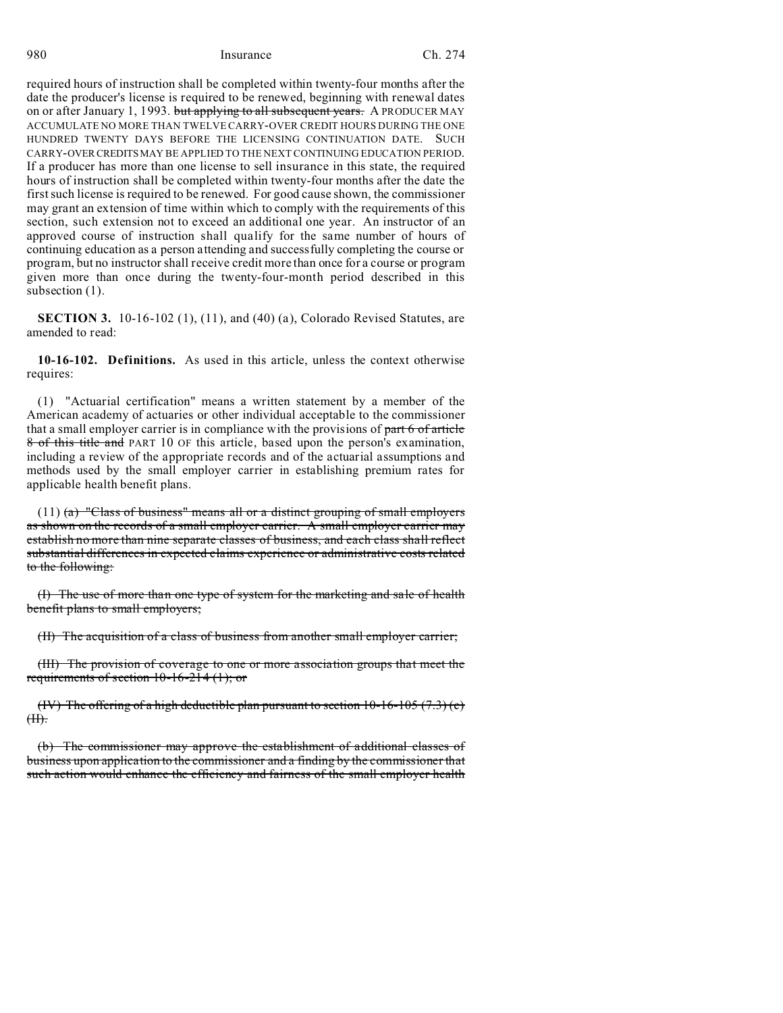required hours of instruction shall be completed within twenty-four months after the date the producer's license is required to be renewed, beginning with renewal dates on or after January 1, 1993. but applying to all subsequent years. A PRODUCER MAY ACCUMULATE NO MORE THAN TWELVE CARRY-OVER CREDIT HOURS DURING THE ONE HUNDRED TWENTY DAYS BEFORE THE LICENSING CONTINUATION DATE. SUCH CARRY-OVERCREDITSMAY BE APPLIED TO THE NEXT CONTINUING EDUCATION PERIOD. If a producer has more than one license to sell insurance in this state, the required hours of instruction shall be completed within twenty-four months after the date the first such license is required to be renewed. For good cause shown, the commissioner may grant an extension of time within which to comply with the requirements of this section, such extension not to exceed an additional one year. An instructor of an approved course of instruction shall qualify for the same number of hours of continuing education as a person attending and successfully completing the course or program, but no instructor shall receive credit more than once for a course or program given more than once during the twenty-four-month period described in this subsection  $(1)$ .

**SECTION 3.** 10-16-102 (1), (11), and (40) (a), Colorado Revised Statutes, are amended to read:

**10-16-102. Definitions.** As used in this article, unless the context otherwise requires:

(1) "Actuarial certification" means a written statement by a member of the American academy of actuaries or other individual acceptable to the commissioner that a small employer carrier is in compliance with the provisions of part 6 of article 8 of this title and PART 10 OF this article, based upon the person's examination, including a review of the appropriate records and of the actuarial assumptions and methods used by the small employer carrier in establishing premium rates for applicable health benefit plans.

(11) (a) "Class of business" means all or a distinct grouping of small employers as shown on the records of a small employer carrier. A small employer carrier may establish no more than nine separate classes of business, and each class shall reflect substantial differences in expected claims experience or administrative costs related to the following:

(I) The use of more than one type of system for the marketing and sale of health benefit plans to small employers;

(II) The acquisition of a class of business from another small employer carrier;

(III) The provision of coverage to one or more association groups that meet the requirements of section  $10-16-214$  (1); or

(IV) The offering of a high deductible plan pursuant to section  $10-16-105$  (7.3) (c)  $H$ .

(b) The commissioner may approve the establishment of additional classes of business upon application to the commissioner and a finding by the commissioner that such action would enhance the efficiency and fairness of the small employer health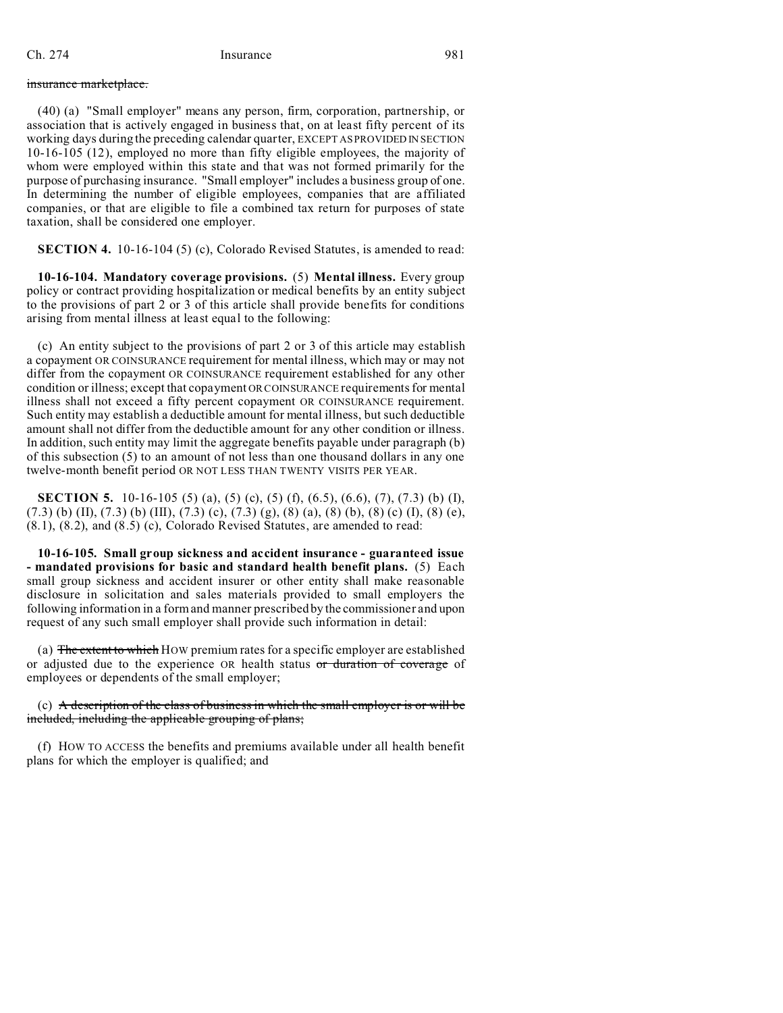#### insurance marketplace.

(40) (a) "Small employer" means any person, firm, corporation, partnership, or association that is actively engaged in business that, on at least fifty percent of its working days during the preceding calendar quarter, EXCEPT AS PROVIDED IN SECTION 10-16-105 (12), employed no more than fifty eligible employees, the majority of whom were employed within this state and that was not formed primarily for the purpose of purchasing insurance. "Small employer" includes a business group of one. In determining the number of eligible employees, companies that are affiliated companies, or that are eligible to file a combined tax return for purposes of state taxation, shall be considered one employer.

**SECTION 4.** 10-16-104 (5) (c), Colorado Revised Statutes, is amended to read:

**10-16-104. Mandatory coverage provisions.** (5) **Mental illness.** Every group policy or contract providing hospitalization or medical benefits by an entity subject to the provisions of part 2 or 3 of this article shall provide benefits for conditions arising from mental illness at least equal to the following:

(c) An entity subject to the provisions of part 2 or 3 of this article may establish a copayment OR COINSURANCE requirement for mental illness, which may or may not differ from the copayment OR COINSURANCE requirement established for any other condition or illness; except that copayment OR COINSURANCE requirements for mental illness shall not exceed a fifty percent copayment OR COINSURANCE requirement. Such entity may establish a deductible amount for mental illness, but such deductible amount shall not differ from the deductible amount for any other condition or illness. In addition, such entity may limit the aggregate benefits payable under paragraph (b) of this subsection (5) to an amount of not less than one thousand dollars in any one twelve-month benefit period OR NOT LESS THAN TWENTY VISITS PER YEAR.

**SECTION 5.** 10-16-105 (5) (a), (5) (c), (5) (f), (6.5), (6.6), (7), (7.3) (b) (I),  $(7.3)$  (b) (II),  $(7.3)$  (b) (III),  $(7.3)$  (c),  $(7.3)$  (g),  $(8)$  (a),  $(8)$  (b),  $(8)$  (c) (I),  $(8)$  (e), (8.1), (8.2), and (8.5) (c), Colorado Revised Statutes, are amended to read:

**10-16-105. Small group sickness and accident insurance - guaranteed issue - mandated provisions for basic and standard health benefit plans.** (5) Each small group sickness and accident insurer or other entity shall make reasonable disclosure in solicitation and sales materials provided to small employers the following information in a form and manner prescribed by the commissioner and upon request of any such small employer shall provide such information in detail:

(a) The extent to which HOW premium rates for a specific employer are established or adjusted due to the experience OR health status or duration of coverage of employees or dependents of the small employer;

(c) A description of the class of business in which the small employer is or will be included, including the applicable grouping of plans;

(f) HOW TO ACCESS the benefits and premiums available under all health benefit plans for which the employer is qualified; and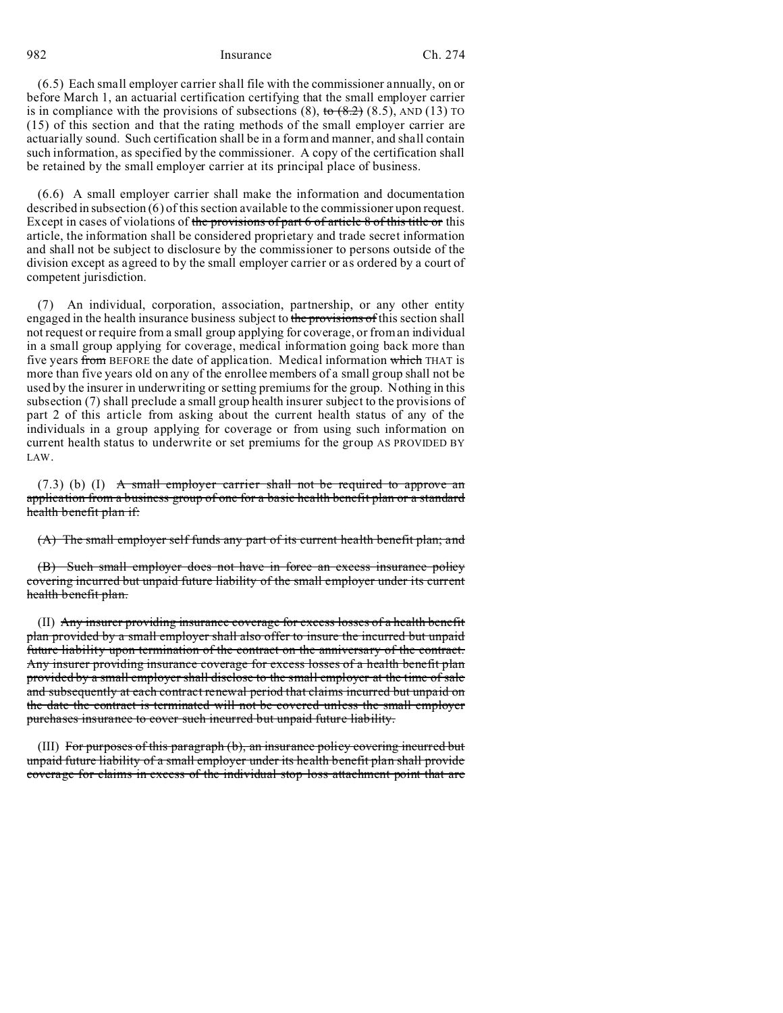(6.5) Each small employer carrier shall file with the commissioner annually, on or before March 1, an actuarial certification certifying that the small employer carrier is in compliance with the provisions of subsections  $(8)$ , to  $(8.2)$   $(8.5)$ , AND  $(13)$  TO (15) of this section and that the rating methods of the small employer carrier are actuarially sound. Such certification shall be in a form and manner, and shall contain such information, as specified by the commissioner. A copy of the certification shall be retained by the small employer carrier at its principal place of business.

(6.6) A small employer carrier shall make the information and documentation described in subsection (6) of this section available to the commissioner upon request. Except in cases of violations of the provisions of part 6 of article 8 of this title or this article, the information shall be considered proprietary and trade secret information and shall not be subject to disclosure by the commissioner to persons outside of the division except as agreed to by the small employer carrier or as ordered by a court of competent jurisdiction.

(7) An individual, corporation, association, partnership, or any other entity engaged in the health insurance business subject to the provisions of this section shall not request or require from a small group applying for coverage, or from an individual in a small group applying for coverage, medical information going back more than five years from BEFORE the date of application. Medical information which THAT is more than five years old on any of the enrollee members of a small group shall not be used by the insurer in underwriting or setting premiums for the group. Nothing in this subsection (7) shall preclude a small group health insurer subject to the provisions of part 2 of this article from asking about the current health status of any of the individuals in a group applying for coverage or from using such information on current health status to underwrite or set premiums for the group AS PROVIDED BY LAW.

 $(7.3)$  (b) (I) A small employer carrier shall not be required to approve an application from a business group of one for a basic health benefit plan or a standard health benefit plan if:

(A) The small employer self funds any part of its current health benefit plan; and

(B) Such small employer does not have in force an excess insurance policy covering incurred but unpaid future liability of the small employer under its current health benefit plan.

(II) Any insurer providing insurance coverage for excess losses of a health benefit plan provided by a small employer shall also offer to insure the incurred but unpaid future liability upon termination of the contract on the anniversary of the contract. Any insurer providing insurance coverage for excess losses of a health benefit plan provided by a small employer shall disclose to the small employer at the time of sale and subsequently at each contract renewal period that claims incurred but unpaid on the date the contract is terminated will not be covered unless the small employer purchases insurance to cover such incurred but unpaid future liability.

(III) For purposes of this paragraph (b), an insurance policy covering incurred but unpaid future liability of a small employer under its health benefit plan shall provide coverage for claims in excess of the individual stop loss attachment point that are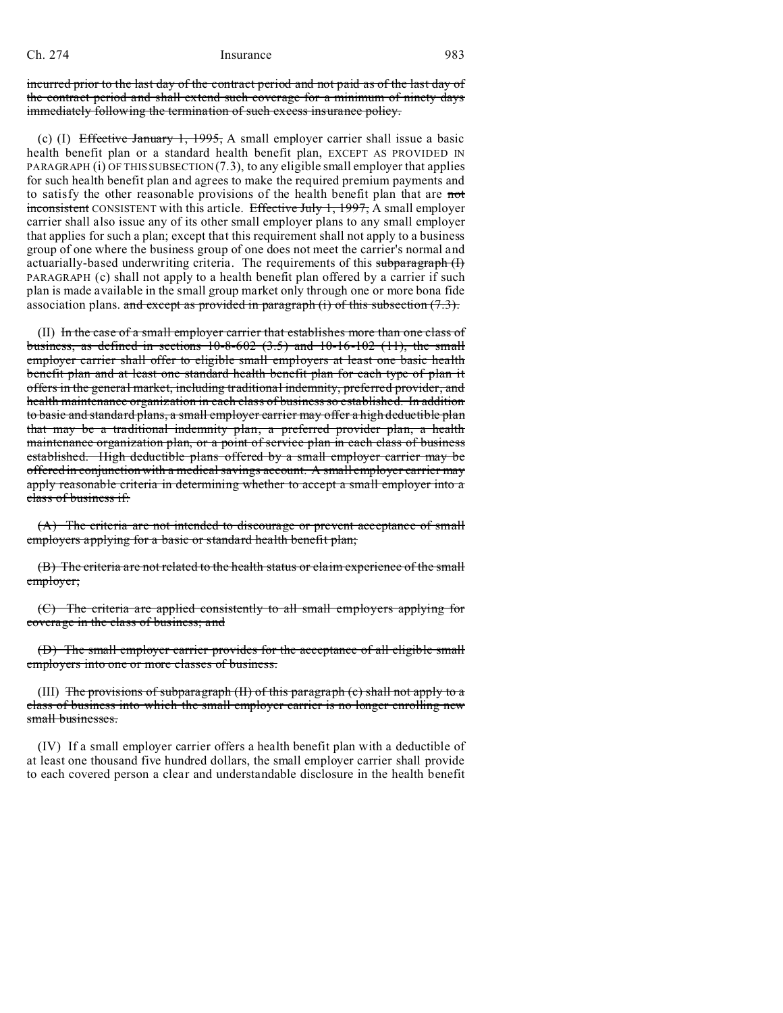incurred prior to the last day of the contract period and not paid as of the last day of the contract period and shall extend such coverage for a minimum of ninety days immediately following the termination of such excess insurance policy.

(c) (I) Effective January 1, 1995, A small employer carrier shall issue a basic health benefit plan or a standard health benefit plan, EXCEPT AS PROVIDED IN PARAGRAPH (i) OF THIS SUBSECTION (7.3), to any eligible small employer that applies for such health benefit plan and agrees to make the required premium payments and to satisfy the other reasonable provisions of the health benefit plan that are not inconsistent CONSISTENT with this article. Effective July 1, 1997, A small employer carrier shall also issue any of its other small employer plans to any small employer that applies for such a plan; except that this requirement shall not apply to a business group of one where the business group of one does not meet the carrier's normal and actuarially-based underwriting criteria. The requirements of this subparagraph (I) PARAGRAPH (c) shall not apply to a health benefit plan offered by a carrier if such plan is made available in the small group market only through one or more bona fide association plans. and except as provided in paragraph (i) of this subsection  $(7.3)$ .

(II) In the case of a small employer carrier that establishes more than one class of business, as defined in sections  $10-8-602$   $(3.5)$  and  $10-16-102$   $(11)$ , the small employer carrier shall offer to eligible small employers at least one basic health benefit plan and at least one standard health benefit plan for each type of plan it offers in the general market, including traditional indemnity, preferred provider, and health maintenance organization in each class of business so established. In addition to basic and standard plans, a small employer carrier may offer a high deductible plan that may be a traditional indemnity plan, a preferred provider plan, a health maintenance organization plan, or a point of service plan in each class of business established. High deductible plans offered by a small employer carrier may be offered in conjunction with a medical savings account. A small employer carrier may apply reasonable criteria in determining whether to accept a small employer into a class of business if:

(A) The criteria are not intended to discourage or prevent acceptance of small employers applying for a basic or standard health benefit plan;

(B) The criteria are not related to the health status or claim experience of the small employer;

(C) The criteria are applied consistently to all small employers applying for coverage in the class of business; and

(D) The small employer carrier provides for the acceptance of all eligible small employers into one or more classes of business.

(III) The provisions of subparagraph (II) of this paragraph (c) shall not apply to a class of business into which the small employer carrier is no longer enrolling new small businesses.

(IV) If a small employer carrier offers a health benefit plan with a deductible of at least one thousand five hundred dollars, the small employer carrier shall provide to each covered person a clear and understandable disclosure in the health benefit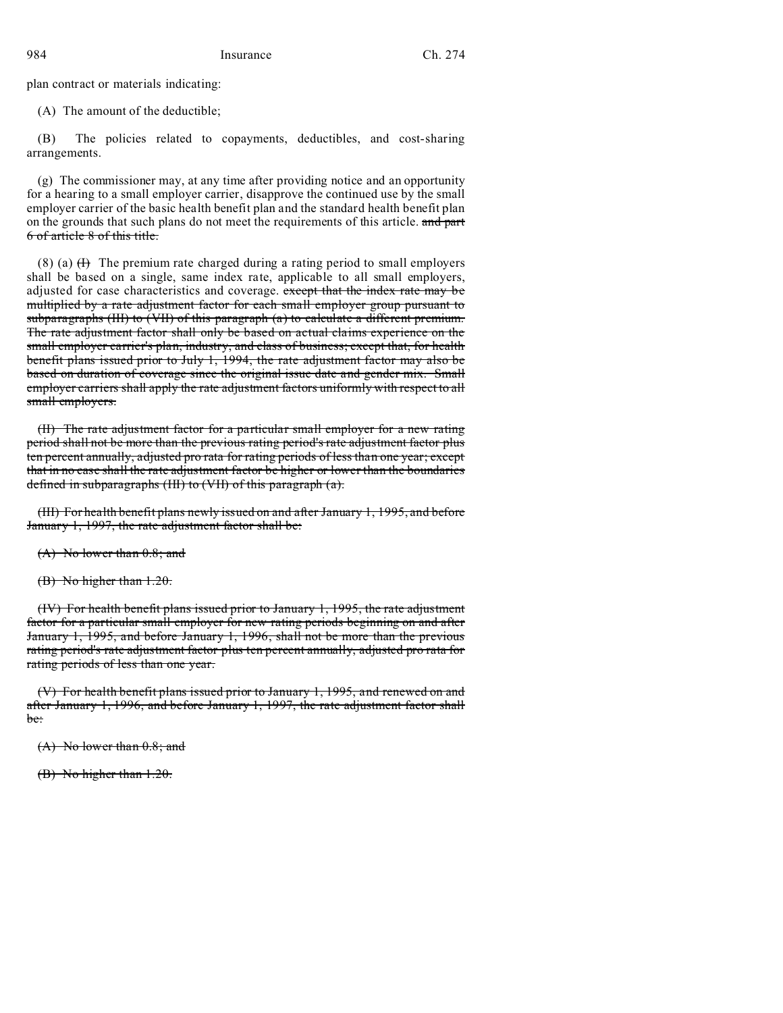plan contract or materials indicating:

(A) The amount of the deductible;

(B) The policies related to copayments, deductibles, and cost-sharing arrangements.

(g) The commissioner may, at any time after providing notice and an opportunity for a hearing to a small employer carrier, disapprove the continued use by the small employer carrier of the basic health benefit plan and the standard health benefit plan on the grounds that such plans do not meet the requirements of this article. and part 6 of article 8 of this title.

(8) (a)  $(H)$  The premium rate charged during a rating period to small employers shall be based on a single, same index rate, applicable to all small employers, adjusted for case characteristics and coverage. except that the index rate may be multiplied by a rate adjustment factor for each small employer group pursuant to subparagraphs (III) to (VII) of this paragraph (a) to calculate a different premium. The rate adjustment factor shall only be based on actual claims experience on the small employer carrier's plan, industry, and class of business; except that, for health benefit plans issued prior to July 1, 1994, the rate adjustment factor may also be based on duration of coverage since the original issue date and gender mix. Small employer carriers shall apply the rate adjustment factors uniformly with respect to all small employers.

(II) The rate adjustment factor for a particular small employer for a new rating period shall not be more than the previous rating period's rate adjustment factor plus ten percent annually, adjusted pro rata for rating periods of less than one year; except that in no case shall the rate adjustment factor be higher or lower than the boundaries defined in subparagraphs (III) to (VII) of this paragraph (a).

(III) For health benefit plans newly issued on and after January 1, 1995, and before January 1, 1997, the rate adjustment factor shall be:

(A) No lower than 0.8; and

(B) No higher than 1.20.

(IV) For health benefit plans issued prior to January 1, 1995, the rate adjustment factor for a particular small employer for new rating periods beginning on and after January 1, 1995, and before January 1, 1996, shall not be more than the previous rating period's rate adjustment factor plus ten percent annually, adjusted pro rata for rating periods of less than one year.

(V) For health benefit plans issued prior to January 1, 1995, and renewed on and after January 1, 1996, and before January 1, 1997, the rate adjustment factor shall be:

(A) No lower than 0.8; and

(B) No higher than 1.20.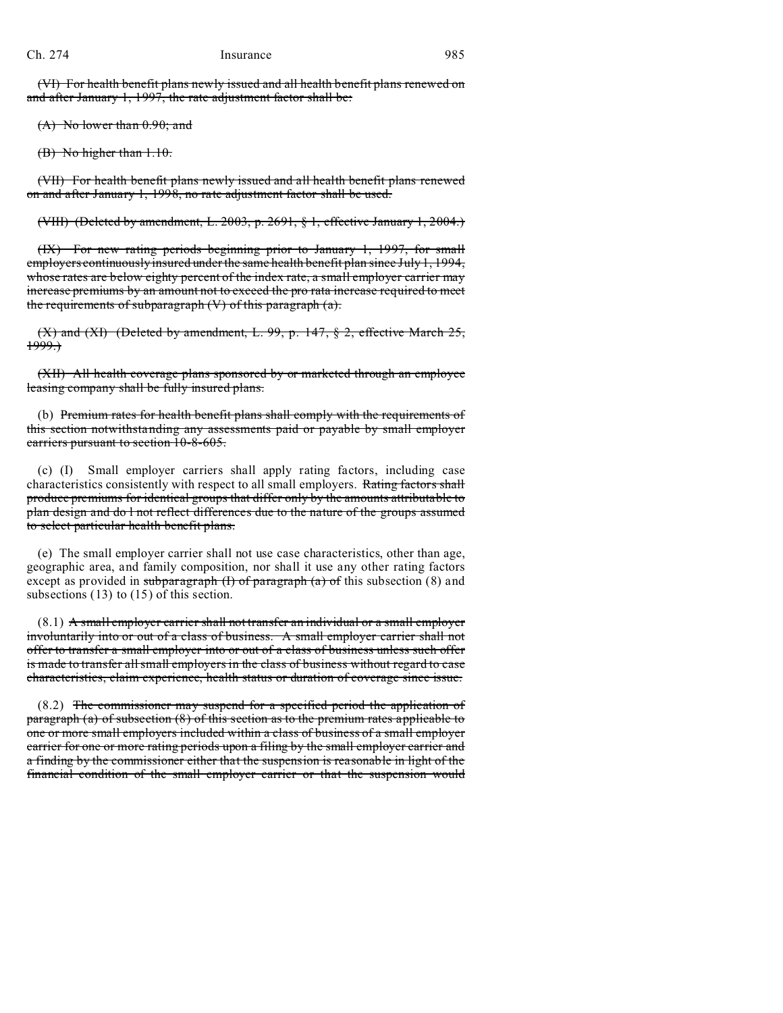(VI) For health benefit plans newly issued and all health benefit plans renewed on and after January 1, 1997, the rate adjustment factor shall be:

(A) No lower than 0.90; and

(B) No higher than 1.10.

(VII) For health benefit plans newly issued and all health benefit plans renewed on and after January 1, 1998, no rate adjustment factor shall be used.

(VIII) (Deleted by amendment, L. 2003, p. 2691, § 1, effective January 1, 2004.)

(IX) For new rating periods beginning prior to January 1, 1997, for small employers continuously insured under the same health benefit plan since July 1, 1994, whose rates are below eighty percent of the index rate, a small employer carrier may increase premiums by an amount not to exceed the pro rata increase required to meet the requirements of subparagraph  $(V)$  of this paragraph  $(a)$ .

 $(X)$  and  $(XI)$  (Deleted by amendment, L. 99, p. 147, § 2, effective March 25,  $1999.$ 

(XII) All health coverage plans sponsored by or marketed through an employee leasing company shall be fully insured plans.

(b) Premium rates for health benefit plans shall comply with the requirements of this section notwithstanding any assessments paid or payable by small employer carriers pursuant to section 10-8-605.

(c) (I) Small employer carriers shall apply rating factors, including case characteristics consistently with respect to all small employers. Rating factors shall produce premiums for identical groups that differ only by the amounts attributable to plan design and do l not reflect differences due to the nature of the groups assumed to select particular health benefit plans.

(e) The small employer carrier shall not use case characteristics, other than age, geographic area, and family composition, nor shall it use any other rating factors except as provided in subparagraph  $(I)$  of paragraph  $(a)$  of this subsection (8) and subsections (13) to (15) of this section.

 $(8.1)$  A small employer carrier shall not transfer an individual or a small employer involuntarily into or out of a class of business. A small employer carrier shall not offer to transfer a small employer into or out of a class of business unless such offer is made to transfer all small employers in the class of business without regard to case characteristics, claim experience, health status or duration of coverage since issue.

(8.2) The commissioner may suspend for a specified period the application of paragraph (a) of subsection (8) of this section as to the premium rates applicable to one or more small employers included within a class of business of a small employer carrier for one or more rating periods upon a filing by the small employer carrier and a finding by the commissioner either that the suspension is reasonable in light of the financial condition of the small employer carrier or that the suspension would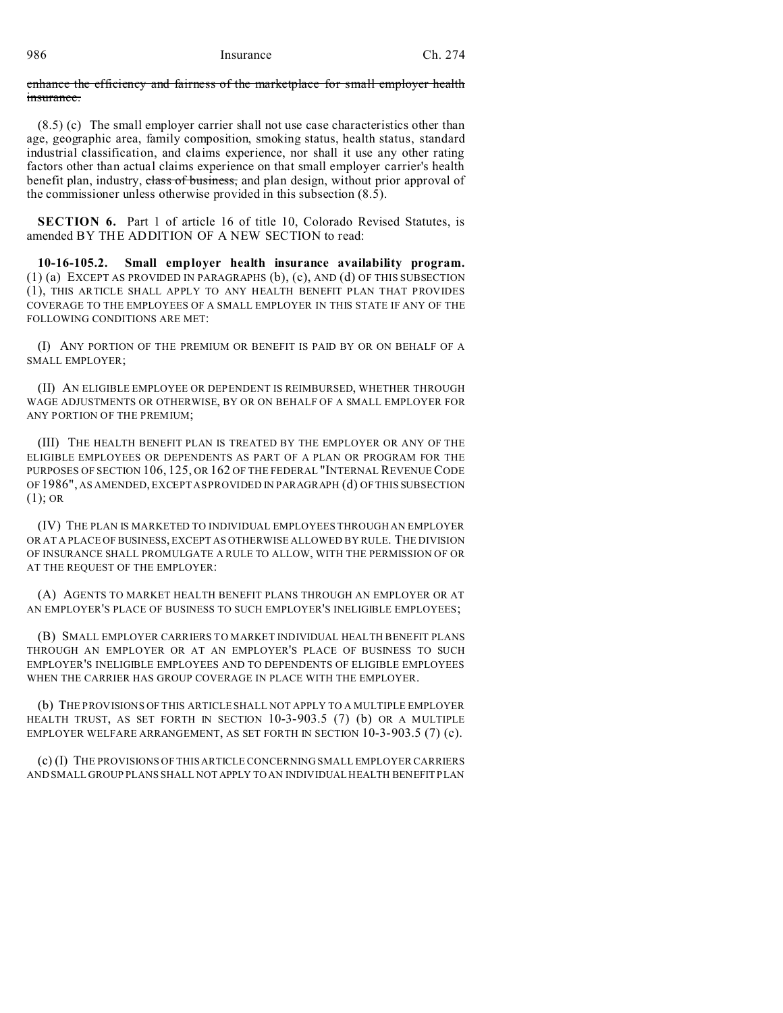enhance the efficiency and fairness of the marketplace for small employer health insurance.

(8.5) (c) The small employer carrier shall not use case characteristics other than age, geographic area, family composition, smoking status, health status, standard industrial classification, and claims experience, nor shall it use any other rating factors other than actual claims experience on that small employer carrier's health benefit plan, industry, class of business, and plan design, without prior approval of the commissioner unless otherwise provided in this subsection (8.5).

**SECTION 6.** Part 1 of article 16 of title 10, Colorado Revised Statutes, is amended BY THE ADDITION OF A NEW SECTION to read:

**10-16-105.2. Small employer health insurance availability program.** (1) (a) EXCEPT AS PROVIDED IN PARAGRAPHS (b), (c), AND (d) OF THIS SUBSECTION (1), THIS ARTICLE SHALL APPLY TO ANY HEALTH BENEFIT PLAN THAT PROVIDES COVERAGE TO THE EMPLOYEES OF A SMALL EMPLOYER IN THIS STATE IF ANY OF THE FOLLOWING CONDITIONS ARE MET:

(I) ANY PORTION OF THE PREMIUM OR BENEFIT IS PAID BY OR ON BEHALF OF A SMALL EMPLOYER;

(II) AN ELIGIBLE EMPLOYEE OR DEPENDENT IS REIMBURSED, WHETHER THROUGH WAGE ADJUSTMENTS OR OTHERWISE, BY OR ON BEHALF OF A SMALL EMPLOYER FOR ANY PORTION OF THE PREMIUM;

(III) THE HEALTH BENEFIT PLAN IS TREATED BY THE EMPLOYER OR ANY OF THE ELIGIBLE EMPLOYEES OR DEPENDENTS AS PART OF A PLAN OR PROGRAM FOR THE PURPOSES OF SECTION 106, 125, OR 162 OF THE FEDERAL "INTERNAL REVENUE CODE OF 1986", AS AMENDED, EXCEPT AS PROVIDED IN PARAGRAPH (d) OF THIS SUBSECTION  $(1);$  OR

(IV) THE PLAN IS MARKETED TO INDIVIDUAL EMPLOYEES THROUGH AN EMPLOYER OR AT A PLACE OF BUSINESS, EXCEPT AS OTHERWISE ALLOWED BY RULE. THE DIVISION OF INSURANCE SHALL PROMULGATE A RULE TO ALLOW, WITH THE PERMISSION OF OR AT THE REQUEST OF THE EMPLOYER:

(A) AGENTS TO MARKET HEALTH BENEFIT PLANS THROUGH AN EMPLOYER OR AT AN EMPLOYER'S PLACE OF BUSINESS TO SUCH EMPLOYER'S INELIGIBLE EMPLOYEES;

(B) SMALL EMPLOYER CARRIERS TO MARKET INDIVIDUAL HEALTH BENEFIT PLANS THROUGH AN EMPLOYER OR AT AN EMPLOYER'S PLACE OF BUSINESS TO SUCH EMPLOYER'S INELIGIBLE EMPLOYEES AND TO DEPENDENTS OF ELIGIBLE EMPLOYEES WHEN THE CARRIER HAS GROUP COVERAGE IN PLACE WITH THE EMPLOYER.

(b) THE PROVISIONS OF THIS ARTICLE SHALL NOT APPLY TO A MULTIPLE EMPLOYER HEALTH TRUST, AS SET FORTH IN SECTION 10-3-903.5 (7) (b) OR A MULTIPLE EMPLOYER WELFARE ARRANGEMENT, AS SET FORTH IN SECTION 10-3-903.5 (7) (c).

(c) (I) THE PROVISIONS OF THIS ARTICLE CONCERNING SMALL EMPLOYER CARRIERS AND SMALL GROUP PLANS SHALL NOT APPLY TO AN INDIVIDUAL HEALTH BENEFIT PLAN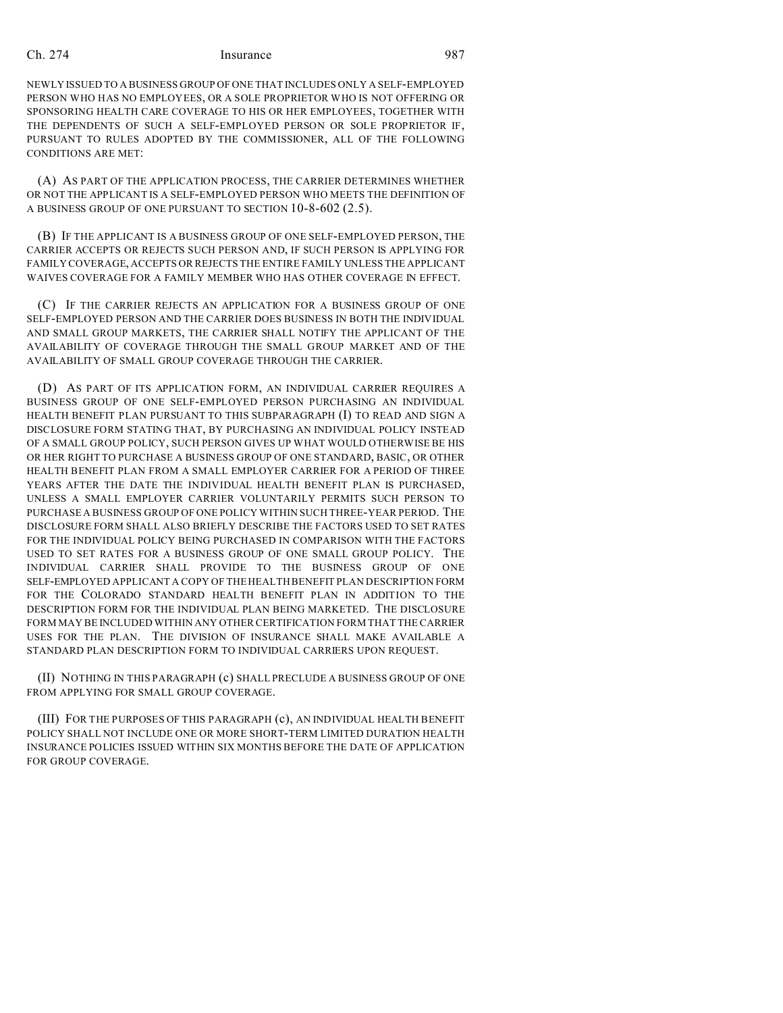NEWLY ISSUED TO A BUSINESS GROUP OF ONE THAT INCLUDES ONLY A SELF-EMPLOYED PERSON WHO HAS NO EMPLOYEES, OR A SOLE PROPRIETOR WHO IS NOT OFFERING OR SPONSORING HEALTH CARE COVERAGE TO HIS OR HER EMPLOYEES, TOGETHER WITH THE DEPENDENTS OF SUCH A SELF-EMPLOYED PERSON OR SOLE PROPRIETOR IF, PURSUANT TO RULES ADOPTED BY THE COMMISSIONER, ALL OF THE FOLLOWING CONDITIONS ARE MET:

(A) AS PART OF THE APPLICATION PROCESS, THE CARRIER DETERMINES WHETHER OR NOT THE APPLICANT IS A SELF-EMPLOYED PERSON WHO MEETS THE DEFINITION OF A BUSINESS GROUP OF ONE PURSUANT TO SECTION 10-8-602 (2.5).

(B) IF THE APPLICANT IS A BUSINESS GROUP OF ONE SELF-EMPLOYED PERSON, THE CARRIER ACCEPTS OR REJECTS SUCH PERSON AND, IF SUCH PERSON IS APPLYING FOR FAMILY COVERAGE, ACCEPTS OR REJECTS THE ENTIRE FAMILY UNLESS THE APPLICANT WAIVES COVERAGE FOR A FAMILY MEMBER WHO HAS OTHER COVERAGE IN EFFECT.

(C) IF THE CARRIER REJECTS AN APPLICATION FOR A BUSINESS GROUP OF ONE SELF-EMPLOYED PERSON AND THE CARRIER DOES BUSINESS IN BOTH THE INDIVIDUAL AND SMALL GROUP MARKETS, THE CARRIER SHALL NOTIFY THE APPLICANT OF THE AVAILABILITY OF COVERAGE THROUGH THE SMALL GROUP MARKET AND OF THE AVAILABILITY OF SMALL GROUP COVERAGE THROUGH THE CARRIER.

(D) AS PART OF ITS APPLICATION FORM, AN INDIVIDUAL CARRIER REQUIRES A BUSINESS GROUP OF ONE SELF-EMPLOYED PERSON PURCHASING AN INDIVIDUAL HEALTH BENEFIT PLAN PURSUANT TO THIS SUBPARAGRAPH (I) TO READ AND SIGN A DISCLOSURE FORM STATING THAT, BY PURCHASING AN INDIVIDUAL POLICY INSTEAD OF A SMALL GROUP POLICY, SUCH PERSON GIVES UP WHAT WOULD OTHERWISE BE HIS OR HER RIGHT TO PURCHASE A BUSINESS GROUP OF ONE STANDARD, BASIC, OR OTHER HEALTH BENEFIT PLAN FROM A SMALL EMPLOYER CARRIER FOR A PERIOD OF THREE YEARS AFTER THE DATE THE INDIVIDUAL HEALTH BENEFIT PLAN IS PURCHASED, UNLESS A SMALL EMPLOYER CARRIER VOLUNTARILY PERMITS SUCH PERSON TO PURCHASE A BUSINESS GROUP OF ONE POLICY WITHIN SUCH THREE-YEAR PERIOD. THE DISCLOSURE FORM SHALL ALSO BRIEFLY DESCRIBE THE FACTORS USED TO SET RATES FOR THE INDIVIDUAL POLICY BEING PURCHASED IN COMPARISON WITH THE FACTORS USED TO SET RATES FOR A BUSINESS GROUP OF ONE SMALL GROUP POLICY. THE INDIVIDUAL CARRIER SHALL PROVIDE TO THE BUSINESS GROUP OF ONE SELF-EMPLOYED APPLICANT A COPY OF THE HEALTH BENEFIT PLAN DESCRIPTION FORM FOR THE COLORADO STANDARD HEALTH BENEFIT PLAN IN ADDITION TO THE DESCRIPTION FORM FOR THE INDIVIDUAL PLAN BEING MARKETED. THE DISCLOSURE FORM MAY BE INCLUDED WITHIN ANY OTHER CERTIFICATION FORM THAT THE CARRIER USES FOR THE PLAN. THE DIVISION OF INSURANCE SHALL MAKE AVAILABLE A STANDARD PLAN DESCRIPTION FORM TO INDIVIDUAL CARRIERS UPON REQUEST.

(II) NOTHING IN THIS PARAGRAPH (c) SHALL PRECLUDE A BUSINESS GROUP OF ONE FROM APPLYING FOR SMALL GROUP COVERAGE.

(III) FOR THE PURPOSES OF THIS PARAGRAPH (c), AN INDIVIDUAL HEALTH BENEFIT POLICY SHALL NOT INCLUDE ONE OR MORE SHORT-TERM LIMITED DURATION HEALTH INSURANCE POLICIES ISSUED WITHIN SIX MONTHS BEFORE THE DATE OF APPLICATION FOR GROUP COVERAGE.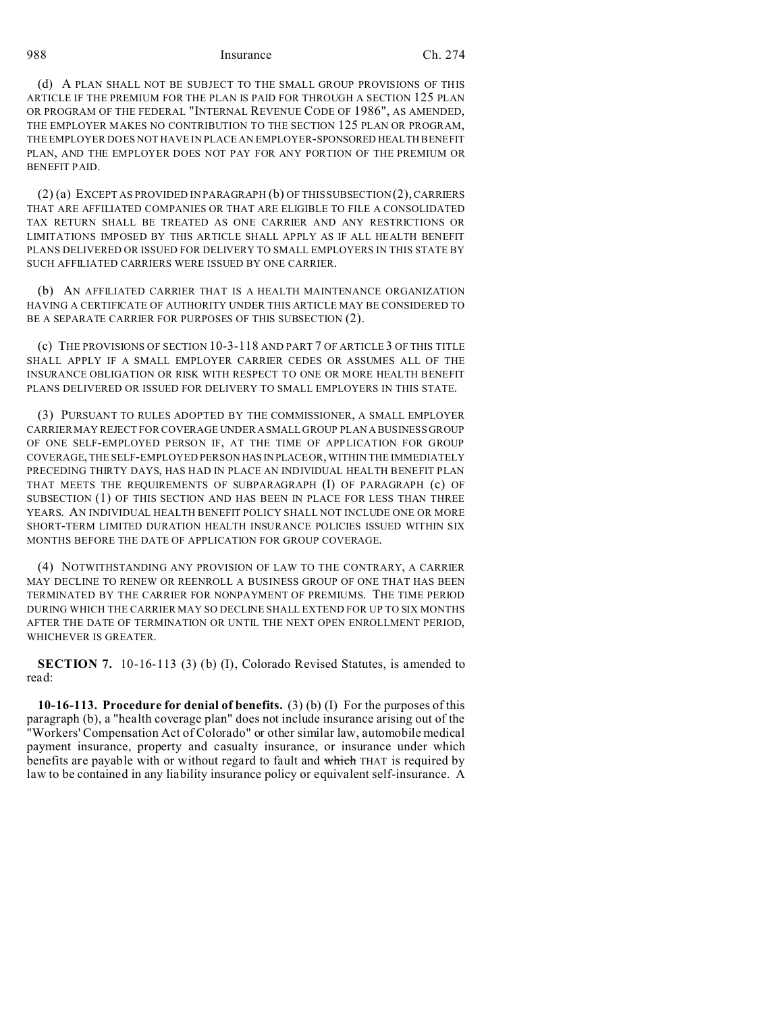(d) A PLAN SHALL NOT BE SUBJECT TO THE SMALL GROUP PROVISIONS OF THIS ARTICLE IF THE PREMIUM FOR THE PLAN IS PAID FOR THROUGH A SECTION 125 PLAN OR PROGRAM OF THE FEDERAL "INTERNAL REVENUE CODE OF 1986", AS AMENDED, THE EMPLOYER MAKES NO CONTRIBUTION TO THE SECTION 125 PLAN OR PROGRAM, THE EMPLOYER DOES NOT HAVE IN PLACE AN EMPLOYER-SPONSORED HEALTH BENEFIT PLAN, AND THE EMPLOYER DOES NOT PAY FOR ANY PORTION OF THE PREMIUM OR BENEFIT PAID.

(2) (a) EXCEPT AS PROVIDED IN PARAGRAPH (b) OF THIS SUBSECTION (2), CARRIERS THAT ARE AFFILIATED COMPANIES OR THAT ARE ELIGIBLE TO FILE A CONSOLIDATED TAX RETURN SHALL BE TREATED AS ONE CARRIER AND ANY RESTRICTIONS OR LIMITATIONS IMPOSED BY THIS ARTICLE SHALL APPLY AS IF ALL HEALTH BENEFIT PLANS DELIVERED OR ISSUED FOR DELIVERY TO SMALL EMPLOYERS IN THIS STATE BY SUCH AFFILIATED CARRIERS WERE ISSUED BY ONE CARRIER.

(b) AN AFFILIATED CARRIER THAT IS A HEALTH MAINTENANCE ORGANIZATION HAVING A CERTIFICATE OF AUTHORITY UNDER THIS ARTICLE MAY BE CONSIDERED TO BE A SEPARATE CARRIER FOR PURPOSES OF THIS SUBSECTION (2).

(c) THE PROVISIONS OF SECTION 10-3-118 AND PART 7 OF ARTICLE 3 OF THIS TITLE SHALL APPLY IF A SMALL EMPLOYER CARRIER CEDES OR ASSUMES ALL OF THE INSURANCE OBLIGATION OR RISK WITH RESPECT TO ONE OR MORE HEALTH BENEFIT PLANS DELIVERED OR ISSUED FOR DELIVERY TO SMALL EMPLOYERS IN THIS STATE.

(3) PURSUANT TO RULES ADOPTED BY THE COMMISSIONER, A SMALL EMPLOYER CARRIER MAY REJECT FOR COVERAGE UNDER ASMALL GROUP PLAN A BUSINESS GROUP OF ONE SELF-EMPLOYED PERSON IF, AT THE TIME OF APPLICATION FOR GROUP COVERAGE, THE SELF-EMPLOYED PERSON HAS IN PLACEOR, WITHIN THE IMMEDIATELY PRECEDING THIRTY DAYS, HAS HAD IN PLACE AN INDIVIDUAL HEALTH BENEFIT PLAN THAT MEETS THE REQUIREMENTS OF SUBPARAGRAPH (I) OF PARAGRAPH (c) OF SUBSECTION (1) OF THIS SECTION AND HAS BEEN IN PLACE FOR LESS THAN THREE YEARS. AN INDIVIDUAL HEALTH BENEFIT POLICY SHALL NOT INCLUDE ONE OR MORE SHORT-TERM LIMITED DURATION HEALTH INSURANCE POLICIES ISSUED WITHIN SIX MONTHS BEFORE THE DATE OF APPLICATION FOR GROUP COVERAGE.

(4) NOTWITHSTANDING ANY PROVISION OF LAW TO THE CONTRARY, A CARRIER MAY DECLINE TO RENEW OR REENROLL A BUSINESS GROUP OF ONE THAT HAS BEEN TERMINATED BY THE CARRIER FOR NONPAYMENT OF PREMIUMS. THE TIME PERIOD DURING WHICH THE CARRIER MAY SO DECLINE SHALL EXTEND FOR UP TO SIX MONTHS AFTER THE DATE OF TERMINATION OR UNTIL THE NEXT OPEN ENROLLMENT PERIOD, WHICHEVER IS GREATER.

**SECTION 7.** 10-16-113 (3) (b) (I), Colorado Revised Statutes, is amended to read:

**10-16-113. Procedure for denial of benefits.** (3) (b) (I) For the purposes of this paragraph (b), a "health coverage plan" does not include insurance arising out of the "Workers' Compensation Act of Colorado" or other similar law, automobile medical payment insurance, property and casualty insurance, or insurance under which benefits are payable with or without regard to fault and which THAT is required by law to be contained in any liability insurance policy or equivalent self-insurance. A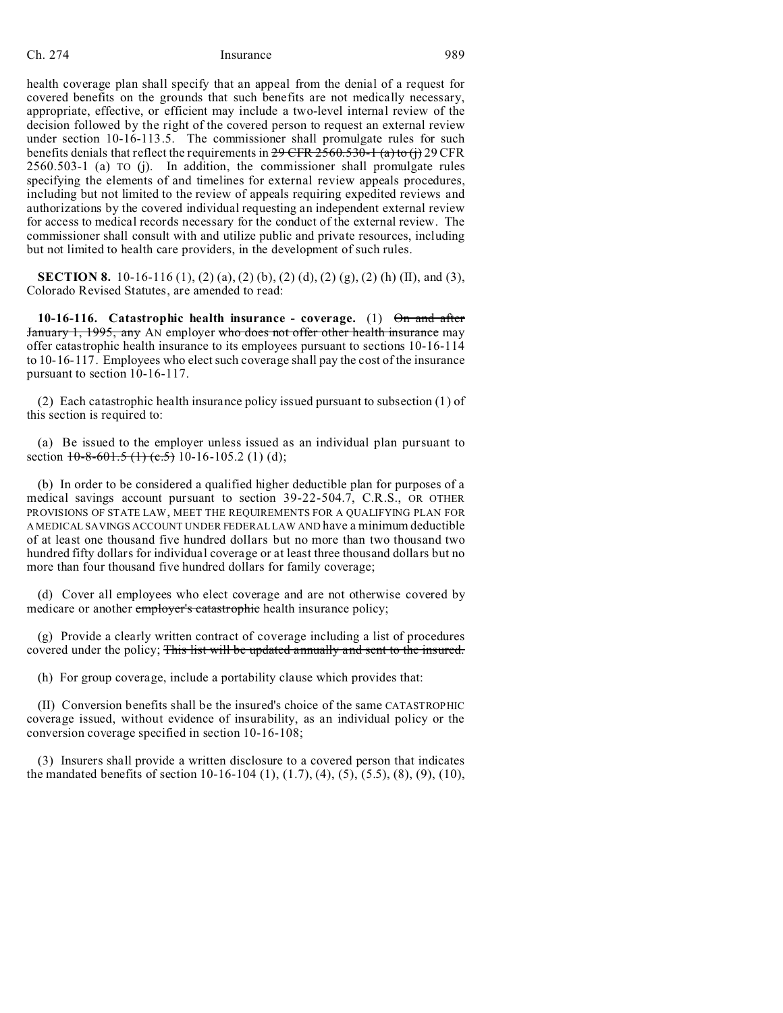health coverage plan shall specify that an appeal from the denial of a request for covered benefits on the grounds that such benefits are not medically necessary, appropriate, effective, or efficient may include a two-level internal review of the decision followed by the right of the covered person to request an external review under section 10-16-113.5. The commissioner shall promulgate rules for such benefits denials that reflect the requirements in  $29$  CFR  $2560.530-1$  (a) to (j) 29 CFR 2560.503-1 (a) TO (j). In addition, the commissioner shall promulgate rules specifying the elements of and timelines for external review appeals procedures, including but not limited to the review of appeals requiring expedited reviews and authorizations by the covered individual requesting an independent external review for access to medical records necessary for the conduct of the external review. The commissioner shall consult with and utilize public and private resources, including but not limited to health care providers, in the development of such rules.

**SECTION 8.** 10-16-116 (1), (2) (a), (2) (b), (2) (d), (2) (g), (2) (h) (II), and (3), Colorado Revised Statutes, are amended to read:

**10-16-116. Catastrophic health insurance - coverage.** (1) On and after January 1, 1995, any AN employer who does not offer other health insurance may offer catastrophic health insurance to its employees pursuant to sections 10-16-114 to 10-16-117. Employees who elect such coverage shall pay the cost of the insurance pursuant to section 10-16-117.

(2) Each catastrophic health insurance policy issued pursuant to subsection (1) of this section is required to:

(a) Be issued to the employer unless issued as an individual plan pursuant to section  $10-8-601.5$  (1)  $(c.5)$  10-16-105.2 (1) (d);

(b) In order to be considered a qualified higher deductible plan for purposes of a medical savings account pursuant to section 39-22-504.7, C.R.S., OR OTHER PROVISIONS OF STATE LAW, MEET THE REQUIREMENTS FOR A QUALIFYING PLAN FOR A MEDICAL SAVINGS ACCOUNT UNDER FEDERAL LAW AND have a minimum deductible of at least one thousand five hundred dollars but no more than two thousand two hundred fifty dollars for individual coverage or at least three thousand dollars but no more than four thousand five hundred dollars for family coverage;

(d) Cover all employees who elect coverage and are not otherwise covered by medicare or another *employer's catastrophic* health insurance policy;

(g) Provide a clearly written contract of coverage including a list of procedures covered under the policy; This list will be updated annually and sent to the insured.

(h) For group coverage, include a portability clause which provides that:

(II) Conversion benefits shall be the insured's choice of the same CATASTROPHIC coverage issued, without evidence of insurability, as an individual policy or the conversion coverage specified in section 10-16-108;

(3) Insurers shall provide a written disclosure to a covered person that indicates the mandated benefits of section 10-16-104 (1), (1.7), (4), (5), (5.5), (8), (9), (10),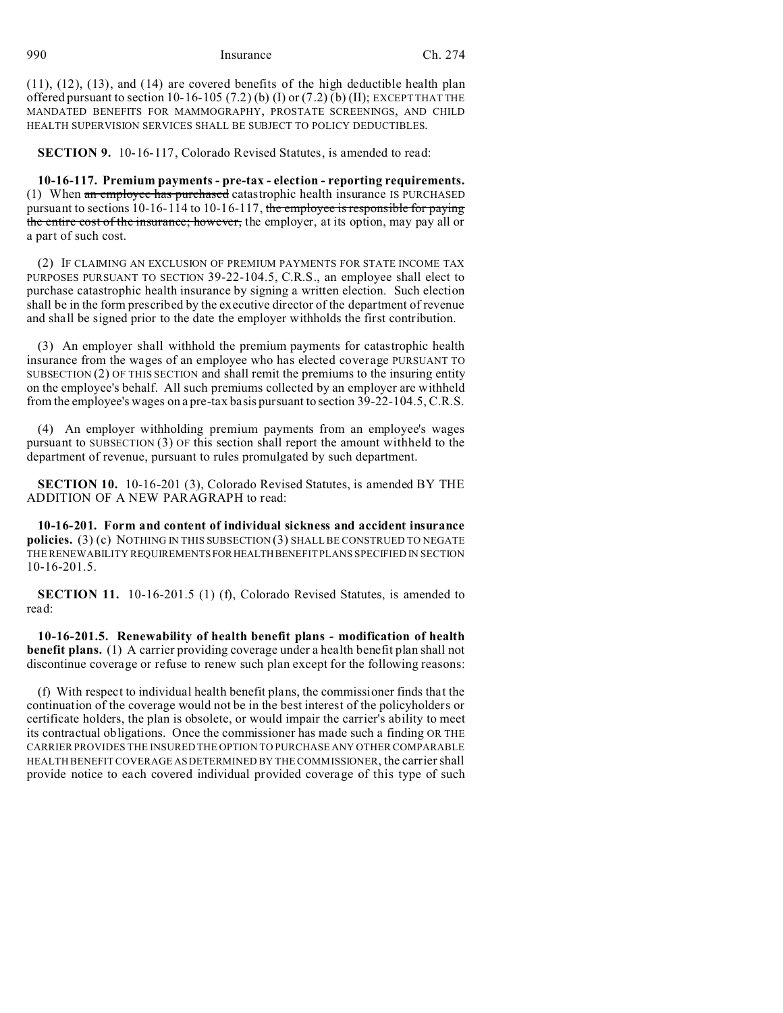(11), (12), (13), and (14) are covered benefits of the high deductible health plan offered pursuant to section 10-16-105 (7.2) (b) (I) or (7.2) (b) (II); EXCEPT THAT THE MANDATED BENEFITS FOR MAMMOGRAPHY, PROSTATE SCREENINGS, AND CHILD HEALTH SUPERVISION SERVICES SHALL BE SUBJECT TO POLICY DEDUCTIBLES.

**SECTION 9.** 10-16-117, Colorado Revised Statutes, is amended to read:

**10-16-117. Premium payments - pre-tax - election - reporting requirements.** (1) When an employee has purchased catastrophic health insurance IS PURCHASED pursuant to sections 10-16-114 to 10-16-117, the employee is responsible for paying the entire cost of the insurance; however, the employer, at its option, may pay all or a part of such cost.

(2) IF CLAIMING AN EXCLUSION OF PREMIUM PAYMENTS FOR STATE INCOME TAX PURPOSES PURSUANT TO SECTION 39-22-104.5, C.R.S., an employee shall elect to purchase catastrophic health insurance by signing a written election. Such election shall be in the form prescribed by the executive director of the department of revenue and shall be signed prior to the date the employer withholds the first contribution.

(3) An employer shall withhold the premium payments for catastrophic health insurance from the wages of an employee who has elected coverage PURSUANT TO SUBSECTION  $(2)$  OF THIS SECTION and shall remit the premiums to the insuring entity on the employee's behalf. All such premiums collected by an employer are withheld from the employee's wages on a pre-tax basis pursuant to section 39-22-104.5, C.R.S.

(4) An employer withholding premium payments from an employee's wages pursuant to SUBSECTION (3) OF this section shall report the amount withheld to the department of revenue, pursuant to rules promulgated by such department.

**SECTION 10.** 10-16-201 (3), Colorado Revised Statutes, is amended BY THE ADDITION OF A NEW PARAGRAPH to read:

**10-16-201. Form and content of individual sickness and accident insurance policies.** (3) (c) NOTHING IN THIS SUBSECTION (3) SHALL BE CONSTRUED TO NEGATE THE RENEWABILITY REQUIREMENTSFORHEALTHBENEFIT PLANS SPECIFIED IN SECTION 10-16-201.5.

**SECTION 11.** 10-16-201.5 (1) (f), Colorado Revised Statutes, is amended to read:

**10-16-201.5. Renewability of health benefit plans - modification of health benefit plans.** (1) A carrier providing coverage under a health benefit plan shall not discontinue coverage or refuse to renew such plan except for the following reasons:

(f) With respect to individual health benefit plans, the commissioner finds that the continuation of the coverage would not be in the best interest of the policyholders or certificate holders, the plan is obsolete, or would impair the carrier's ability to meet its contractual obligations. Once the commissioner has made such a finding OR THE CARRIER PROVIDES THE INSURED THE OPTION TO PURCHASE ANY OTHER COMPARABLE HEALTH BENEFIT COVERAGE AS DETERMINED BY THE COMMISSIONER, the carrier shall provide notice to each covered individual provided coverage of this type of such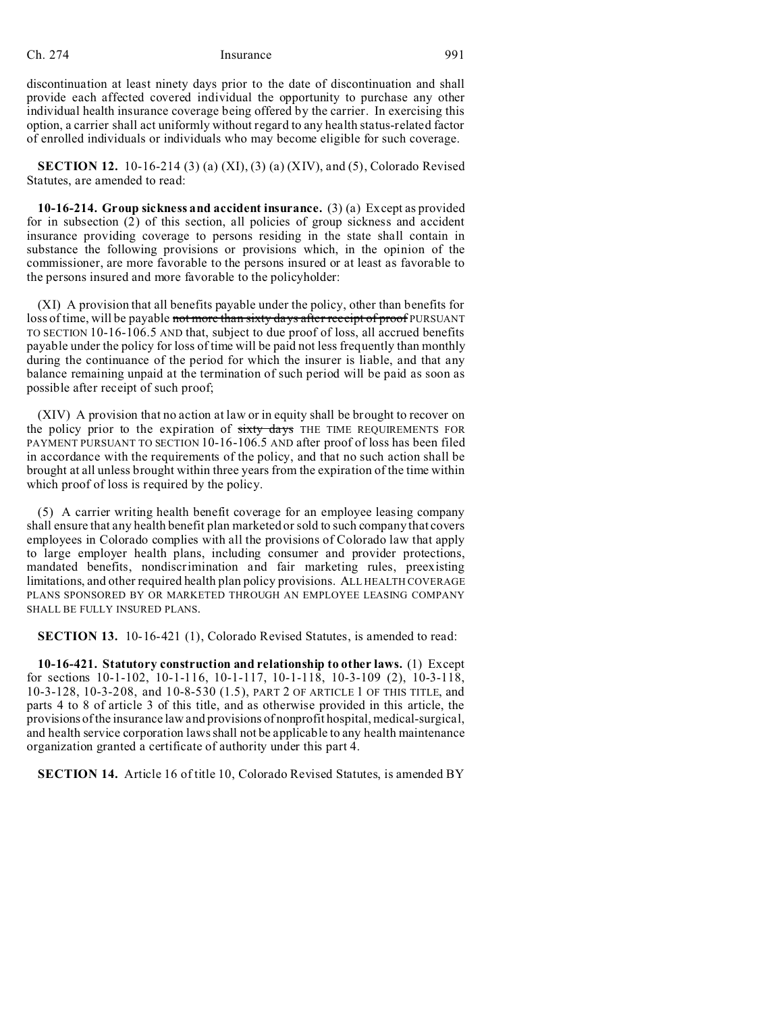discontinuation at least ninety days prior to the date of discontinuation and shall provide each affected covered individual the opportunity to purchase any other individual health insurance coverage being offered by the carrier. In exercising this option, a carrier shall act uniformly without regard to any health status-related factor of enrolled individuals or individuals who may become eligible for such coverage.

**SECTION 12.** 10-16-214 (3) (a) (XI), (3) (a) (XIV), and (5), Colorado Revised Statutes, are amended to read:

**10-16-214. Group sickness and accident insurance.** (3) (a) Except as provided for in subsection (2) of this section, all policies of group sickness and accident insurance providing coverage to persons residing in the state shall contain in substance the following provisions or provisions which, in the opinion of the commissioner, are more favorable to the persons insured or at least as favorable to the persons insured and more favorable to the policyholder:

(XI) A provision that all benefits payable under the policy, other than benefits for loss of time, will be payable not more than sixty days after receipt of proof PURSUANT TO SECTION 10-16-106.5 AND that, subject to due proof of loss, all accrued benefits payable under the policy for loss of time will be paid not less frequently than monthly during the continuance of the period for which the insurer is liable, and that any balance remaining unpaid at the termination of such period will be paid as soon as possible after receipt of such proof;

(XIV) A provision that no action at law or in equity shall be brought to recover on the policy prior to the expiration of sixty days THE TIME REQUIREMENTS FOR PAYMENT PURSUANT TO SECTION 10-16-106.5 AND after proof of loss has been filed in accordance with the requirements of the policy, and that no such action shall be brought at all unless brought within three years from the expiration of the time within which proof of loss is required by the policy.

(5) A carrier writing health benefit coverage for an employee leasing company shall ensure that any health benefit plan marketed or sold to such company that covers employees in Colorado complies with all the provisions of Colorado law that apply to large employer health plans, including consumer and provider protections, mandated benefits, nondiscrimination and fair marketing rules, preexisting limitations, and other required health plan policy provisions. ALL HEALTH COVERAGE PLANS SPONSORED BY OR MARKETED THROUGH AN EMPLOYEE LEASING COMPANY SHALL BE FULLY INSURED PLANS.

**SECTION 13.** 10-16-421 (1), Colorado Revised Statutes, is amended to read:

**10-16-421. Statutory construction and relationship to other laws.** (1) Except for sections 10-1-102, 10-1-116, 10-1-117, 10-1-118, 10-3-109 (2), 10-3-118, 10-3-128, 10-3-208, and 10-8-530 (1.5), PART 2 OF ARTICLE 1 OF THIS TITLE, and parts 4 to 8 of article 3 of this title, and as otherwise provided in this article, the provisions of the insurance law and provisions of nonprofit hospital, medical-surgical, and health service corporation laws shall not be applicable to any health maintenance organization granted a certificate of authority under this part 4.

**SECTION 14.** Article 16 of title 10, Colorado Revised Statutes, is amended BY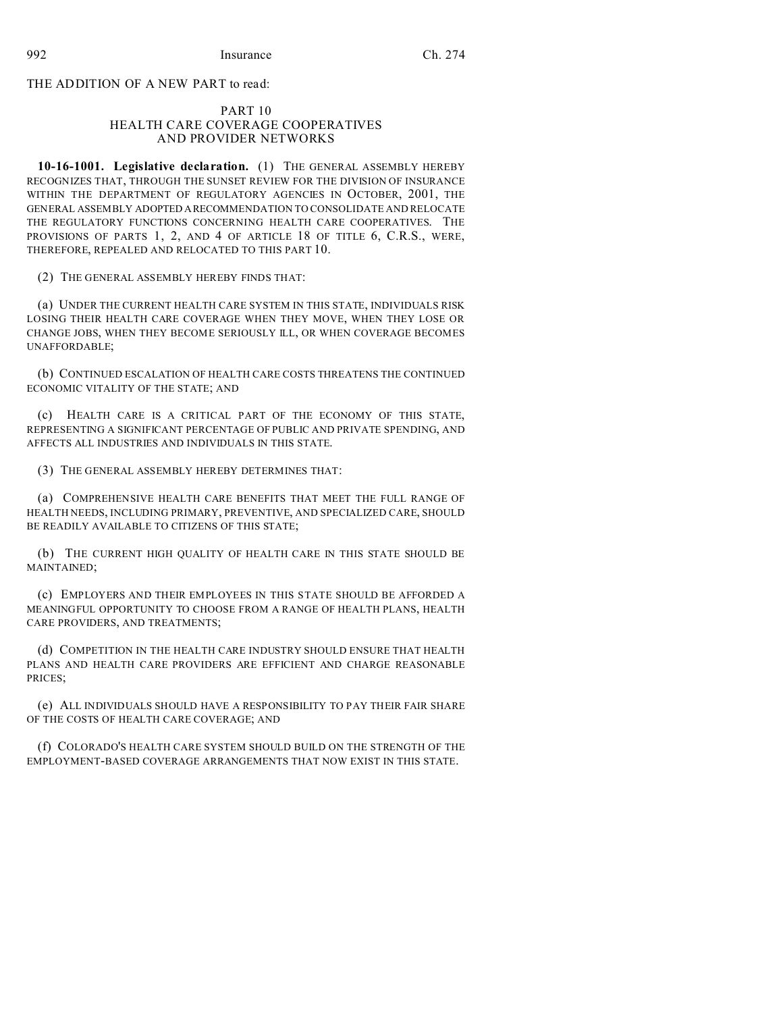THE ADDITION OF A NEW PART to read:

#### PART 10 HEALTH CARE COVERAGE COOPERATIVES AND PROVIDER NETWORKS

**10-16-1001. Legislative declaration.** (1) THE GENERAL ASSEMBLY HEREBY RECOGNIZES THAT, THROUGH THE SUNSET REVIEW FOR THE DIVISION OF INSURANCE WITHIN THE DEPARTMENT OF REGULATORY AGENCIES IN OCTOBER, 2001, THE GENERAL ASSEMBLY ADOPTED ARECOMMENDATION TO CONSOLIDATE AND RELOCATE THE REGULATORY FUNCTIONS CONCERNING HEALTH CARE COOPERATIVES. THE PROVISIONS OF PARTS 1, 2, AND 4 OF ARTICLE 18 OF TITLE 6, C.R.S., WERE, THEREFORE, REPEALED AND RELOCATED TO THIS PART 10.

(2) THE GENERAL ASSEMBLY HEREBY FINDS THAT:

(a) UNDER THE CURRENT HEALTH CARE SYSTEM IN THIS STATE, INDIVIDUALS RISK LOSING THEIR HEALTH CARE COVERAGE WHEN THEY MOVE, WHEN THEY LOSE OR CHANGE JOBS, WHEN THEY BECOME SERIOUSLY ILL, OR WHEN COVERAGE BECOMES UNAFFORDABLE;

(b) CONTINUED ESCALATION OF HEALTH CARE COSTS THREATENS THE CONTINUED ECONOMIC VITALITY OF THE STATE; AND

(c) HEALTH CARE IS A CRITICAL PART OF THE ECONOMY OF THIS STATE, REPRESENTING A SIGNIFICANT PERCENTAGE OF PUBLIC AND PRIVATE SPENDING, AND AFFECTS ALL INDUSTRIES AND INDIVIDUALS IN THIS STATE.

(3) THE GENERAL ASSEMBLY HEREBY DETERMINES THAT:

(a) COMPREHENSIVE HEALTH CARE BENEFITS THAT MEET THE FULL RANGE OF HEALTH NEEDS, INCLUDING PRIMARY, PREVENTIVE, AND SPECIALIZED CARE, SHOULD BE READILY AVAILABLE TO CITIZENS OF THIS STATE;

(b) THE CURRENT HIGH QUALITY OF HEALTH CARE IN THIS STATE SHOULD BE MAINTAINED;

(c) EMPLOYERS AND THEIR EMPLOYEES IN THIS STATE SHOULD BE AFFORDED A MEANINGFUL OPPORTUNITY TO CHOOSE FROM A RANGE OF HEALTH PLANS, HEALTH CARE PROVIDERS, AND TREATMENTS;

(d) COMPETITION IN THE HEALTH CARE INDUSTRY SHOULD ENSURE THAT HEALTH PLANS AND HEALTH CARE PROVIDERS ARE EFFICIENT AND CHARGE REASONABLE PRICES;

(e) ALL INDIVIDUALS SHOULD HAVE A RESPONSIBILITY TO PAY THEIR FAIR SHARE OF THE COSTS OF HEALTH CARE COVERAGE; AND

(f) COLORADO'S HEALTH CARE SYSTEM SHOULD BUILD ON THE STRENGTH OF THE EMPLOYMENT-BASED COVERAGE ARRANGEMENTS THAT NOW EXIST IN THIS STATE.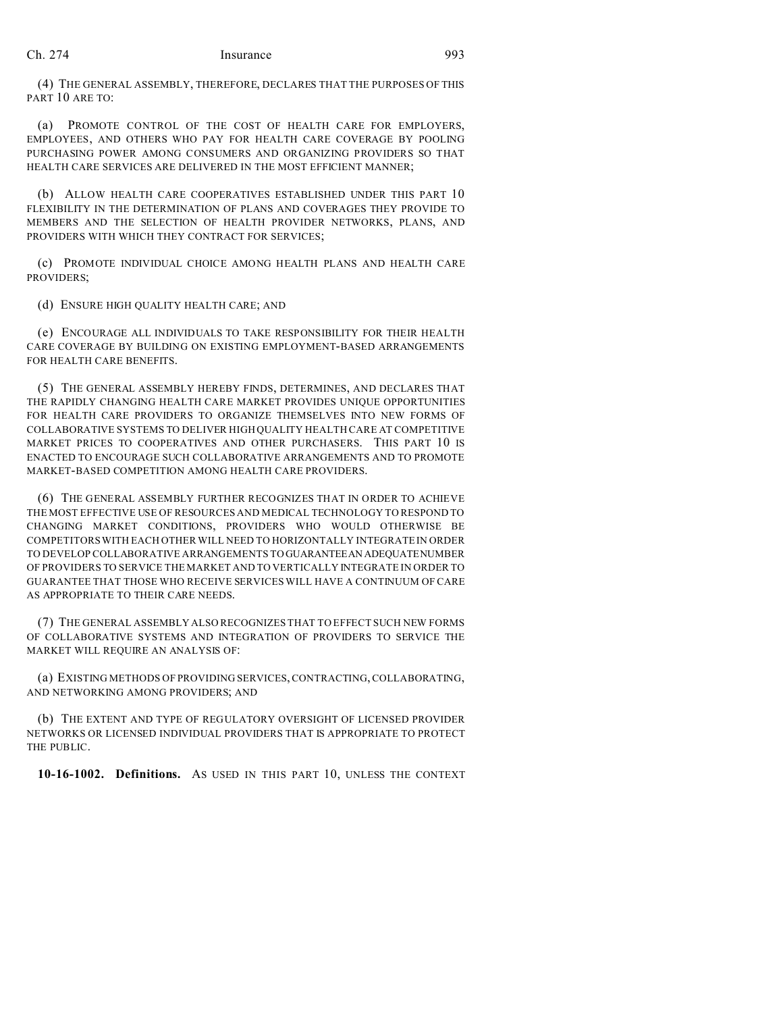(4) THE GENERAL ASSEMBLY, THEREFORE, DECLARES THAT THE PURPOSES OF THIS PART 10 ARE TO:

(a) PROMOTE CONTROL OF THE COST OF HEALTH CARE FOR EMPLOYERS, EMPLOYEES, AND OTHERS WHO PAY FOR HEALTH CARE COVERAGE BY POOLING PURCHASING POWER AMONG CONSUMERS AND ORGANIZING PROVIDERS SO THAT HEALTH CARE SERVICES ARE DELIVERED IN THE MOST EFFICIENT MANNER;

(b) ALLOW HEALTH CARE COOPERATIVES ESTABLISHED UNDER THIS PART 10 FLEXIBILITY IN THE DETERMINATION OF PLANS AND COVERAGES THEY PROVIDE TO MEMBERS AND THE SELECTION OF HEALTH PROVIDER NETWORKS, PLANS, AND PROVIDERS WITH WHICH THEY CONTRACT FOR SERVICES;

(c) PROMOTE INDIVIDUAL CHOICE AMONG HEALTH PLANS AND HEALTH CARE PROVIDERS;

(d) ENSURE HIGH QUALITY HEALTH CARE; AND

(e) ENCOURAGE ALL INDIVIDUALS TO TAKE RESPONSIBILITY FOR THEIR HEALTH CARE COVERAGE BY BUILDING ON EXISTING EMPLOYMENT-BASED ARRANGEMENTS FOR HEALTH CARE BENEFITS.

(5) THE GENERAL ASSEMBLY HEREBY FINDS, DETERMINES, AND DECLARES THAT THE RAPIDLY CHANGING HEALTH CARE MARKET PROVIDES UNIQUE OPPORTUNITIES FOR HEALTH CARE PROVIDERS TO ORGANIZE THEMSELVES INTO NEW FORMS OF COLLABORATIVE SYSTEMS TO DELIVER HIGH QUALITY HEALTH CARE AT COMPETITIVE MARKET PRICES TO COOPERATIVES AND OTHER PURCHASERS. THIS PART 10 IS ENACTED TO ENCOURAGE SUCH COLLABORATIVE ARRANGEMENTS AND TO PROMOTE MARKET-BASED COMPETITION AMONG HEALTH CARE PROVIDERS.

(6) THE GENERAL ASSEMBLY FURTHER RECOGNIZES THAT IN ORDER TO ACHIEVE THE MOST EFFECTIVE USE OF RESOURCES AND MEDICAL TECHNOLOGY TO RESPOND TO CHANGING MARKET CONDITIONS, PROVIDERS WHO WOULD OTHERWISE BE COMPETITORS WITH EACH OTHER WILL NEED TO HORIZONTALLY INTEGRATE IN ORDER TO DEVELOP COLLABORATIVE ARRANGEMENTS TO GUARANTEEAN ADEQUATENUMBER OF PROVIDERS TO SERVICE THE MARKET AND TO VERTICALLY INTEGRATE IN ORDER TO GUARANTEE THAT THOSE WHO RECEIVE SERVICES WILL HAVE A CONTINUUM OF CARE AS APPROPRIATE TO THEIR CARE NEEDS.

(7) THE GENERAL ASSEMBLY ALSO RECOGNIZES THAT TO EFFECT SUCH NEW FORMS OF COLLABORATIVE SYSTEMS AND INTEGRATION OF PROVIDERS TO SERVICE THE MARKET WILL REQUIRE AN ANALYSIS OF:

(a) EXISTING METHODS OF PROVIDING SERVICES, CONTRACTING, COLLABORATING, AND NETWORKING AMONG PROVIDERS; AND

(b) THE EXTENT AND TYPE OF REGULATORY OVERSIGHT OF LICENSED PROVIDER NETWORKS OR LICENSED INDIVIDUAL PROVIDERS THAT IS APPROPRIATE TO PROTECT THE PUBLIC.

**10-16-1002. Definitions.** AS USED IN THIS PART 10, UNLESS THE CONTEXT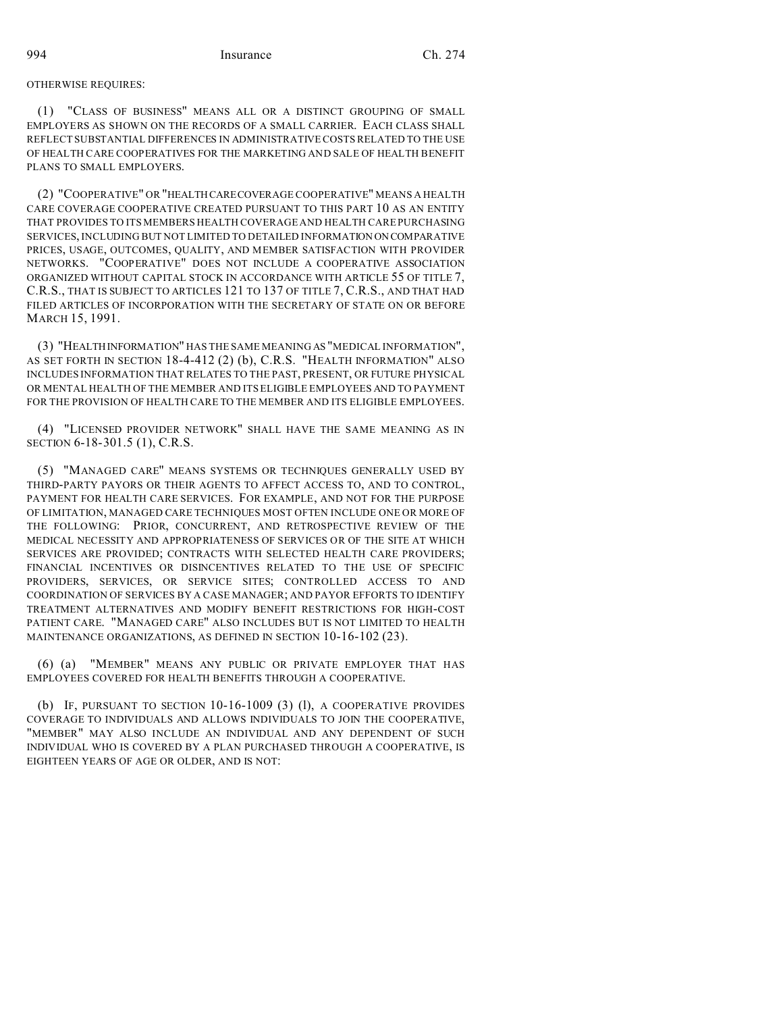#### OTHERWISE REQUIRES:

(1) "CLASS OF BUSINESS" MEANS ALL OR A DISTINCT GROUPING OF SMALL EMPLOYERS AS SHOWN ON THE RECORDS OF A SMALL CARRIER. EACH CLASS SHALL REFLECT SUBSTANTIAL DIFFERENCES IN ADMINISTRATIVE COSTS RELATED TO THE USE OF HEALTH CARE COOPERATIVES FOR THE MARKETING AND SALE OF HEALTH BENEFIT PLANS TO SMALL EMPLOYERS.

(2) "COOPERATIVE" OR "HEALTHCARECOVERAGE COOPERATIVE" MEANS A HEALTH CARE COVERAGE COOPERATIVE CREATED PURSUANT TO THIS PART 10 AS AN ENTITY THAT PROVIDES TO ITS MEMBERS HEALTH COVERAGE AND HEALTH CARE PURCHASING SERVICES, INCLUDING BUT NOT LIMITED TO DETAILED INFORMATION ON COMPARATIVE PRICES, USAGE, OUTCOMES, QUALITY, AND MEMBER SATISFACTION WITH PROVIDER NETWORKS. "COOPERATIVE" DOES NOT INCLUDE A COOPERATIVE ASSOCIATION ORGANIZED WITHOUT CAPITAL STOCK IN ACCORDANCE WITH ARTICLE 55 OF TITLE 7, C.R.S., THAT IS SUBJECT TO ARTICLES 121 TO 137 OF TITLE 7, C.R.S., AND THAT HAD FILED ARTICLES OF INCORPORATION WITH THE SECRETARY OF STATE ON OR BEFORE MARCH 15, 1991.

(3) "HEALTHINFORMATION" HAS THE SAME MEANING AS "MEDICAL INFORMATION", AS SET FORTH IN SECTION 18-4-412 (2) (b), C.R.S. "HEALTH INFORMATION" ALSO INCLUDES INFORMATION THAT RELATES TO THE PAST, PRESENT, OR FUTURE PHYSICAL OR MENTAL HEALTH OF THE MEMBER AND ITS ELIGIBLE EMPLOYEES AND TO PAYMENT FOR THE PROVISION OF HEALTH CARE TO THE MEMBER AND ITS ELIGIBLE EMPLOYEES.

(4) "LICENSED PROVIDER NETWORK" SHALL HAVE THE SAME MEANING AS IN SECTION 6-18-301.5 (1), C.R.S.

(5) "MANAGED CARE" MEANS SYSTEMS OR TECHNIQUES GENERALLY USED BY THIRD-PARTY PAYORS OR THEIR AGENTS TO AFFECT ACCESS TO, AND TO CONTROL, PAYMENT FOR HEALTH CARE SERVICES. FOR EXAMPLE, AND NOT FOR THE PURPOSE OF LIMITATION, MANAGED CARE TECHNIQUES MOST OFTEN INCLUDE ONE OR MORE OF THE FOLLOWING: PRIOR, CONCURRENT, AND RETROSPECTIVE REVIEW OF THE MEDICAL NECESSITY AND APPROPRIATENESS OF SERVICES OR OF THE SITE AT WHICH SERVICES ARE PROVIDED; CONTRACTS WITH SELECTED HEALTH CARE PROVIDERS; FINANCIAL INCENTIVES OR DISINCENTIVES RELATED TO THE USE OF SPECIFIC PROVIDERS, SERVICES, OR SERVICE SITES; CONTROLLED ACCESS TO AND COORDINATION OF SERVICES BY A CASE MANAGER; AND PAYOR EFFORTS TO IDENTIFY TREATMENT ALTERNATIVES AND MODIFY BENEFIT RESTRICTIONS FOR HIGH-COST PATIENT CARE. "MANAGED CARE" ALSO INCLUDES BUT IS NOT LIMITED TO HEALTH MAINTENANCE ORGANIZATIONS, AS DEFINED IN SECTION 10-16-102 (23).

(6) (a) "MEMBER" MEANS ANY PUBLIC OR PRIVATE EMPLOYER THAT HAS EMPLOYEES COVERED FOR HEALTH BENEFITS THROUGH A COOPERATIVE.

(b) IF, PURSUANT TO SECTION  $10-16-1009$  (3) (l), A COOPERATIVE PROVIDES COVERAGE TO INDIVIDUALS AND ALLOWS INDIVIDUALS TO JOIN THE COOPERATIVE, "MEMBER" MAY ALSO INCLUDE AN INDIVIDUAL AND ANY DEPENDENT OF SUCH INDIVIDUAL WHO IS COVERED BY A PLAN PURCHASED THROUGH A COOPERATIVE, IS EIGHTEEN YEARS OF AGE OR OLDER, AND IS NOT: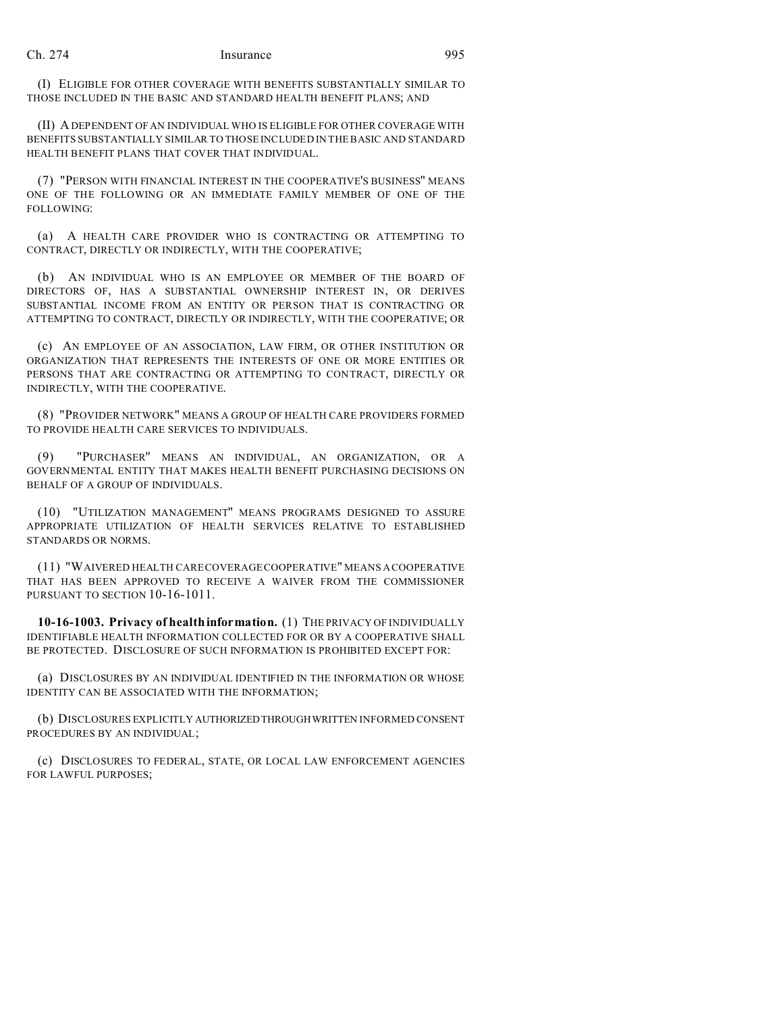(I) ELIGIBLE FOR OTHER COVERAGE WITH BENEFITS SUBSTANTIALLY SIMILAR TO THOSE INCLUDED IN THE BASIC AND STANDARD HEALTH BENEFIT PLANS; AND

(II) A DEPENDENT OF AN INDIVIDUAL WHO IS ELIGIBLE FOR OTHER COVERAGE WITH BENEFITS SUBSTANTIALLY SIMILAR TO THOSE INCLUDED IN THE BASIC AND STANDARD HEALTH BENEFIT PLANS THAT COVER THAT INDIVIDUAL.

(7) "PERSON WITH FINANCIAL INTEREST IN THE COOPERATIVE'S BUSINESS" MEANS ONE OF THE FOLLOWING OR AN IMMEDIATE FAMILY MEMBER OF ONE OF THE FOLLOWING:

(a) A HEALTH CARE PROVIDER WHO IS CONTRACTING OR ATTEMPTING TO CONTRACT, DIRECTLY OR INDIRECTLY, WITH THE COOPERATIVE;

(b) AN INDIVIDUAL WHO IS AN EMPLOYEE OR MEMBER OF THE BOARD OF DIRECTORS OF, HAS A SUBSTANTIAL OWNERSHIP INTEREST IN, OR DERIVES SUBSTANTIAL INCOME FROM AN ENTITY OR PERSON THAT IS CONTRACTING OR ATTEMPTING TO CONTRACT, DIRECTLY OR INDIRECTLY, WITH THE COOPERATIVE; OR

(c) AN EMPLOYEE OF AN ASSOCIATION, LAW FIRM, OR OTHER INSTITUTION OR ORGANIZATION THAT REPRESENTS THE INTERESTS OF ONE OR MORE ENTITIES OR PERSONS THAT ARE CONTRACTING OR ATTEMPTING TO CONTRACT, DIRECTLY OR INDIRECTLY, WITH THE COOPERATIVE.

(8) "PROVIDER NETWORK" MEANS A GROUP OF HEALTH CARE PROVIDERS FORMED TO PROVIDE HEALTH CARE SERVICES TO INDIVIDUALS.

(9) "PURCHASER" MEANS AN INDIVIDUAL, AN ORGANIZATION, OR A GOVERNMENTAL ENTITY THAT MAKES HEALTH BENEFIT PURCHASING DECISIONS ON BEHALF OF A GROUP OF INDIVIDUALS.

(10) "UTILIZATION MANAGEMENT" MEANS PROGRAMS DESIGNED TO ASSURE APPROPRIATE UTILIZATION OF HEALTH SERVICES RELATIVE TO ESTABLISHED STANDARDS OR NORMS.

(11) "WAIVERED HEALTH CARE COVERAGE COOPERATIVE" MEANS A COOPERATIVE THAT HAS BEEN APPROVED TO RECEIVE A WAIVER FROM THE COMMISSIONER PURSUANT TO SECTION 10-16-1011.

**10-16-1003. Privacy of health information.** (1) THE PRIVACY OF INDIVIDUALLY IDENTIFIABLE HEALTH INFORMATION COLLECTED FOR OR BY A COOPERATIVE SHALL BE PROTECTED. DISCLOSURE OF SUCH INFORMATION IS PROHIBITED EXCEPT FOR:

(a) DISCLOSURES BY AN INDIVIDUAL IDENTIFIED IN THE INFORMATION OR WHOSE IDENTITY CAN BE ASSOCIATED WITH THE INFORMATION;

(b) DISCLOSURES EXPLICITLY AUTHORIZEDTHROUGHWRITTEN INFORMED CONSENT PROCEDURES BY AN INDIVIDUAL;

(c) DISCLOSURES TO FEDERAL, STATE, OR LOCAL LAW ENFORCEMENT AGENCIES FOR LAWFUL PURPOSES;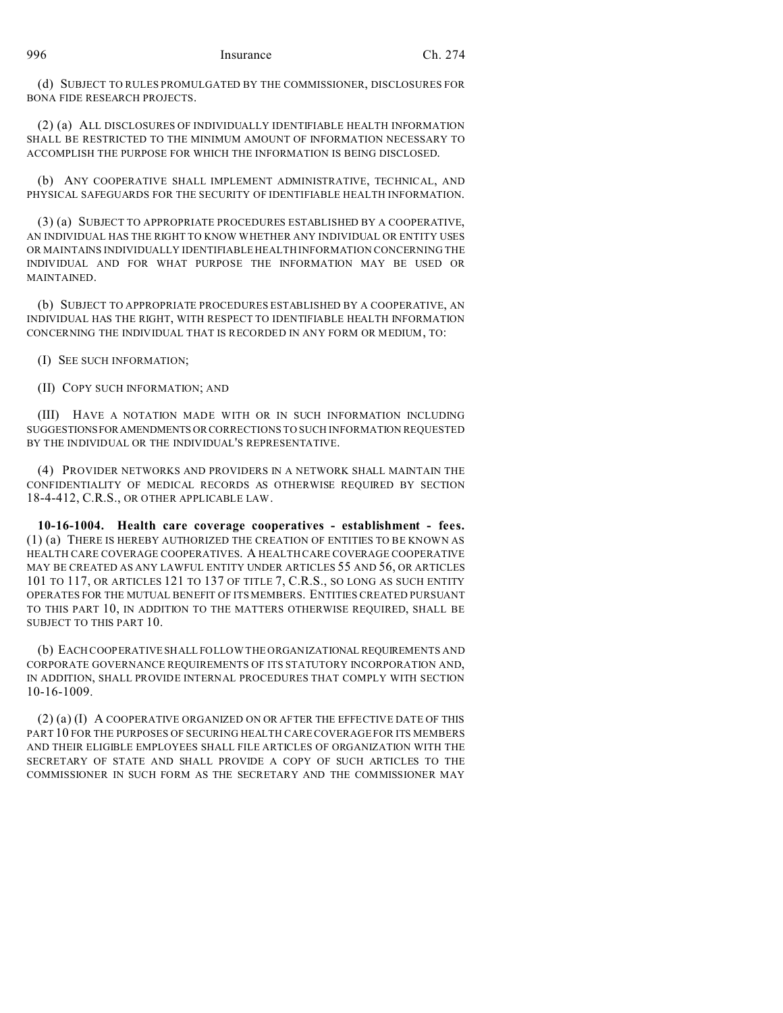(d) SUBJECT TO RULES PROMULGATED BY THE COMMISSIONER, DISCLOSURES FOR BONA FIDE RESEARCH PROJECTS.

(2) (a) ALL DISCLOSURES OF INDIVIDUALLY IDENTIFIABLE HEALTH INFORMATION SHALL BE RESTRICTED TO THE MINIMUM AMOUNT OF INFORMATION NECESSARY TO ACCOMPLISH THE PURPOSE FOR WHICH THE INFORMATION IS BEING DISCLOSED.

(b) ANY COOPERATIVE SHALL IMPLEMENT ADMINISTRATIVE, TECHNICAL, AND PHYSICAL SAFEGUARDS FOR THE SECURITY OF IDENTIFIABLE HEALTH INFORMATION.

(3) (a) SUBJECT TO APPROPRIATE PROCEDURES ESTABLISHED BY A COOPERATIVE, AN INDIVIDUAL HAS THE RIGHT TO KNOW WHETHER ANY INDIVIDUAL OR ENTITY USES OR MAINTAINS INDIVIDUALLY IDENTIFIABLE HEALTH INFORMATION CONCERNING THE INDIVIDUAL AND FOR WHAT PURPOSE THE INFORMATION MAY BE USED OR MAINTAINED.

(b) SUBJECT TO APPROPRIATE PROCEDURES ESTABLISHED BY A COOPERATIVE, AN INDIVIDUAL HAS THE RIGHT, WITH RESPECT TO IDENTIFIABLE HEALTH INFORMATION CONCERNING THE INDIVIDUAL THAT IS RECORDED IN ANY FORM OR MEDIUM, TO:

(I) SEE SUCH INFORMATION;

(II) COPY SUCH INFORMATION; AND

(III) HAVE A NOTATION MADE WITH OR IN SUCH INFORMATION INCLUDING SUGGESTIONSFORAMENDMENTS ORCORRECTIONS TO SUCH INFORMATION REQUESTED BY THE INDIVIDUAL OR THE INDIVIDUAL'S REPRESENTATIVE.

(4) PROVIDER NETWORKS AND PROVIDERS IN A NETWORK SHALL MAINTAIN THE CONFIDENTIALITY OF MEDICAL RECORDS AS OTHERWISE REQUIRED BY SECTION 18-4-412, C.R.S., OR OTHER APPLICABLE LAW.

**10-16-1004. Health care coverage cooperatives - establishment - fees.** (1) (a) THERE IS HEREBY AUTHORIZED THE CREATION OF ENTITIES TO BE KNOWN AS HEALTH CARE COVERAGE COOPERATIVES. A HEALTH CARE COVERAGE COOPERATIVE MAY BE CREATED AS ANY LAWFUL ENTITY UNDER ARTICLES 55 AND 56, OR ARTICLES 101 TO 117, OR ARTICLES 121 TO 137 OF TITLE 7, C.R.S., SO LONG AS SUCH ENTITY OPERATES FOR THE MUTUAL BENEFIT OF ITS MEMBERS. ENTITIES CREATED PURSUANT TO THIS PART 10, IN ADDITION TO THE MATTERS OTHERWISE REQUIRED, SHALL BE SUBJECT TO THIS PART 10.

(b) EACH COOPERATIVE SHALL FOLLOW THE ORGANIZATIONAL REQUIREMENTS AND CORPORATE GOVERNANCE REQUIREMENTS OF ITS STATUTORY INCORPORATION AND, IN ADDITION, SHALL PROVIDE INTERNAL PROCEDURES THAT COMPLY WITH SECTION 10-16-1009.

(2) (a) (I) A COOPERATIVE ORGANIZED ON OR AFTER THE EFFECTIVE DATE OF THIS PART 10 FOR THE PURPOSES OF SECURING HEALTH CARE COVERAGE FOR ITS MEMBERS AND THEIR ELIGIBLE EMPLOYEES SHALL FILE ARTICLES OF ORGANIZATION WITH THE SECRETARY OF STATE AND SHALL PROVIDE A COPY OF SUCH ARTICLES TO THE COMMISSIONER IN SUCH FORM AS THE SECRETARY AND THE COMMISSIONER MAY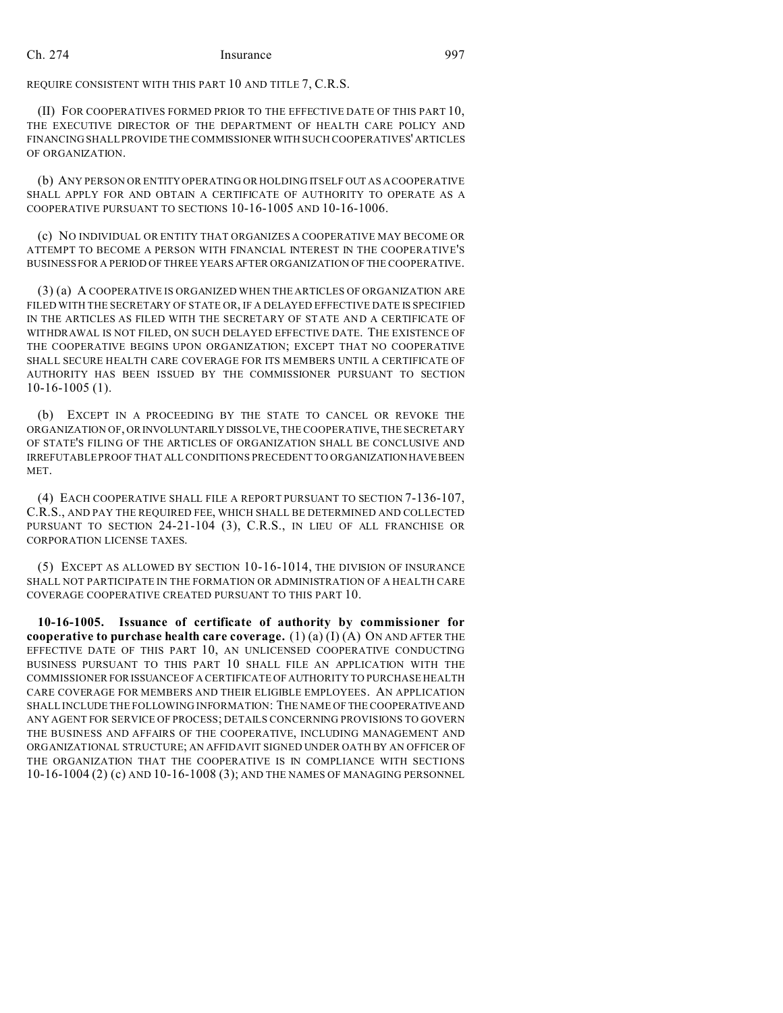REQUIRE CONSISTENT WITH THIS PART 10 AND TITLE 7, C.R.S.

(II) FOR COOPERATIVES FORMED PRIOR TO THE EFFECTIVE DATE OF THIS PART 10, THE EXECUTIVE DIRECTOR OF THE DEPARTMENT OF HEALTH CARE POLICY AND FINANCING SHALL PROVIDE THE COMMISSIONER WITH SUCH COOPERATIVES' ARTICLES OF ORGANIZATION.

(b) ANY PERSON OR ENTITY OPERATING OR HOLDING ITSELF OUT AS A COOPERATIVE SHALL APPLY FOR AND OBTAIN A CERTIFICATE OF AUTHORITY TO OPERATE AS A COOPERATIVE PURSUANT TO SECTIONS 10-16-1005 AND 10-16-1006.

(c) NO INDIVIDUAL OR ENTITY THAT ORGANIZES A COOPERATIVE MAY BECOME OR ATTEMPT TO BECOME A PERSON WITH FINANCIAL INTEREST IN THE COOPERATIVE'S BUSINESS FOR A PERIOD OF THREE YEARS AFTER ORGANIZATION OF THE COOPERATIVE.

(3) (a) A COOPERATIVE IS ORGANIZED WHEN THE ARTICLES OF ORGANIZATION ARE FILED WITH THE SECRETARY OF STATE OR, IF A DELAYED EFFECTIVE DATE IS SPECIFIED IN THE ARTICLES AS FILED WITH THE SECRETARY OF STATE AND A CERTIFICATE OF WITHDRAWAL IS NOT FILED, ON SUCH DELAYED EFFECTIVE DATE. THE EXISTENCE OF THE COOPERATIVE BEGINS UPON ORGANIZATION; EXCEPT THAT NO COOPERATIVE SHALL SECURE HEALTH CARE COVERAGE FOR ITS MEMBERS UNTIL A CERTIFICATE OF AUTHORITY HAS BEEN ISSUED BY THE COMMISSIONER PURSUANT TO SECTION 10-16-1005 (1).

(b) EXCEPT IN A PROCEEDING BY THE STATE TO CANCEL OR REVOKE THE ORGANIZATION OF, ORINVOLUNTARILY DISSOLVE, THE COOPERATIVE, THE SECRETARY OF STATE'S FILING OF THE ARTICLES OF ORGANIZATION SHALL BE CONCLUSIVE AND IRREFUTABLE PROOF THAT ALL CONDITIONS PRECEDENT TO ORGANIZATIONHAVEBEEN MET.

(4) EACH COOPERATIVE SHALL FILE A REPORT PURSUANT TO SECTION 7-136-107, C.R.S., AND PAY THE REQUIRED FEE, WHICH SHALL BE DETERMINED AND COLLECTED PURSUANT TO SECTION 24-21-104 (3), C.R.S., IN LIEU OF ALL FRANCHISE OR CORPORATION LICENSE TAXES.

(5) EXCEPT AS ALLOWED BY SECTION 10-16-1014, THE DIVISION OF INSURANCE SHALL NOT PARTICIPATE IN THE FORMATION OR ADMINISTRATION OF A HEALTH CARE COVERAGE COOPERATIVE CREATED PURSUANT TO THIS PART 10.

**10-16-1005. Issuance of certificate of authority by commissioner for cooperative to purchase health care coverage.** (1) (a) (I) (A) ON AND AFTER THE EFFECTIVE DATE OF THIS PART 10, AN UNLICENSED COOPERATIVE CONDUCTING BUSINESS PURSUANT TO THIS PART 10 SHALL FILE AN APPLICATION WITH THE COMMISSIONER FORISSUANCE OF A CERTIFICATE OF AUTHORITY TO PURCHASE HEALTH CARE COVERAGE FOR MEMBERS AND THEIR ELIGIBLE EMPLOYEES. AN APPLICATION SHALL INCLUDE THE FOLLOWING INFORMATION: THE NAME OF THE COOPERATIVEAND ANY AGENT FOR SERVICE OF PROCESS; DETAILS CONCERNING PROVISIONS TO GOVERN THE BUSINESS AND AFFAIRS OF THE COOPERATIVE, INCLUDING MANAGEMENT AND ORGANIZATIONAL STRUCTURE; AN AFFIDAVIT SIGNED UNDER OATH BY AN OFFICER OF THE ORGANIZATION THAT THE COOPERATIVE IS IN COMPLIANCE WITH SECTIONS 10-16-1004 (2) (c) AND 10-16-1008 (3); AND THE NAMES OF MANAGING PERSONNEL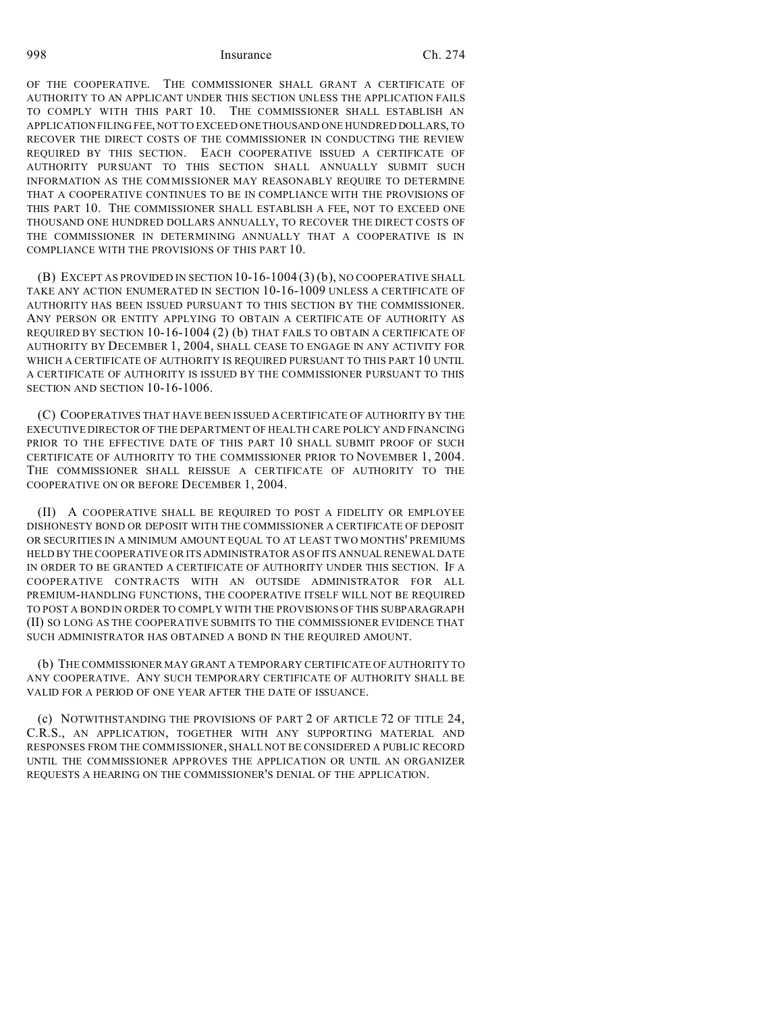OF THE COOPERATIVE. THE COMMISSIONER SHALL GRANT A CERTIFICATE OF AUTHORITY TO AN APPLICANT UNDER THIS SECTION UNLESS THE APPLICATION FAILS TO COMPLY WITH THIS PART 10. THE COMMISSIONER SHALL ESTABLISH AN APPLICATION FILING FEE, NOT TO EXCEED ONE THOUSAND ONE HUNDRED DOLLARS, TO RECOVER THE DIRECT COSTS OF THE COMMISSIONER IN CONDUCTING THE REVIEW REQUIRED BY THIS SECTION. EACH COOPERATIVE ISSUED A CERTIFICATE OF AUTHORITY PURSUANT TO THIS SECTION SHALL ANNUALLY SUBMIT SUCH INFORMATION AS THE COMMISSIONER MAY REASONABLY REQUIRE TO DETERMINE THAT A COOPERATIVE CONTINUES TO BE IN COMPLIANCE WITH THE PROVISIONS OF THIS PART 10. THE COMMISSIONER SHALL ESTABLISH A FEE, NOT TO EXCEED ONE THOUSAND ONE HUNDRED DOLLARS ANNUALLY, TO RECOVER THE DIRECT COSTS OF THE COMMISSIONER IN DETERMINING ANNUALLY THAT A COOPERATIVE IS IN COMPLIANCE WITH THE PROVISIONS OF THIS PART 10.

(B) EXCEPT AS PROVIDED IN SECTION 10-16-1004 (3) (b), NO COOPERATIVE SHALL TAKE ANY ACTION ENUMERATED IN SECTION 10-16-1009 UNLESS A CERTIFICATE OF AUTHORITY HAS BEEN ISSUED PURSUANT TO THIS SECTION BY THE COMMISSIONER. ANY PERSON OR ENTITY APPLYING TO OBTAIN A CERTIFICATE OF AUTHORITY AS REQUIRED BY SECTION 10-16-1004 (2) (b) THAT FAILS TO OBTAIN A CERTIFICATE OF AUTHORITY BY DECEMBER 1, 2004, SHALL CEASE TO ENGAGE IN ANY ACTIVITY FOR WHICH A CERTIFICATE OF AUTHORITY IS REQUIRED PURSUANT TO THIS PART 10 UNTIL A CERTIFICATE OF AUTHORITY IS ISSUED BY THE COMMISSIONER PURSUANT TO THIS SECTION AND SECTION 10-16-1006.

(C) COOPERATIVES THAT HAVE BEEN ISSUED A CERTIFICATE OF AUTHORITY BY THE EXECUTIVE DIRECTOR OF THE DEPARTMENT OF HEALTH CARE POLICY AND FINANCING PRIOR TO THE EFFECTIVE DATE OF THIS PART 10 SHALL SUBMIT PROOF OF SUCH CERTIFICATE OF AUTHORITY TO THE COMMISSIONER PRIOR TO NOVEMBER 1, 2004. THE COMMISSIONER SHALL REISSUE A CERTIFICATE OF AUTHORITY TO THE COOPERATIVE ON OR BEFORE DECEMBER 1, 2004.

(II) A COOPERATIVE SHALL BE REQUIRED TO POST A FIDELITY OR EMPLOYEE DISHONESTY BOND OR DEPOSIT WITH THE COMMISSIONER A CERTIFICATE OF DEPOSIT OR SECURITIES IN A MINIMUM AMOUNT EQUAL TO AT LEAST TWO MONTHS' PREMIUMS HELD BY THE COOPERATIVE OR ITS ADMINISTRATOR AS OF ITS ANNUAL RENEWAL DATE IN ORDER TO BE GRANTED A CERTIFICATE OF AUTHORITY UNDER THIS SECTION. IF A COOPERATIVE CONTRACTS WITH AN OUTSIDE ADMINISTRATOR FOR ALL PREMIUM-HANDLING FUNCTIONS, THE COOPERATIVE ITSELF WILL NOT BE REQUIRED TO POST A BOND IN ORDER TO COMPLY WITH THE PROVISIONS OF THIS SUBPARAGRAPH (II) SO LONG AS THE COOPERATIVE SUBMITS TO THE COMMISSIONER EVIDENCE THAT SUCH ADMINISTRATOR HAS OBTAINED A BOND IN THE REQUIRED AMOUNT.

(b) THE COMMISSIONER MAY GRANT A TEMPORARY CERTIFICATE OF AUTHORITY TO ANY COOPERATIVE. ANY SUCH TEMPORARY CERTIFICATE OF AUTHORITY SHALL BE VALID FOR A PERIOD OF ONE YEAR AFTER THE DATE OF ISSUANCE.

(c) NOTWITHSTANDING THE PROVISIONS OF PART 2 OF ARTICLE 72 OF TITLE 24, C.R.S., AN APPLICATION, TOGETHER WITH ANY SUPPORTING MATERIAL AND RESPONSES FROM THE COMMISSIONER, SHALL NOT BE CONSIDERED A PUBLIC RECORD UNTIL THE COMMISSIONER APPROVES THE APPLICATION OR UNTIL AN ORGANIZER REQUESTS A HEARING ON THE COMMISSIONER'S DENIAL OF THE APPLICATION.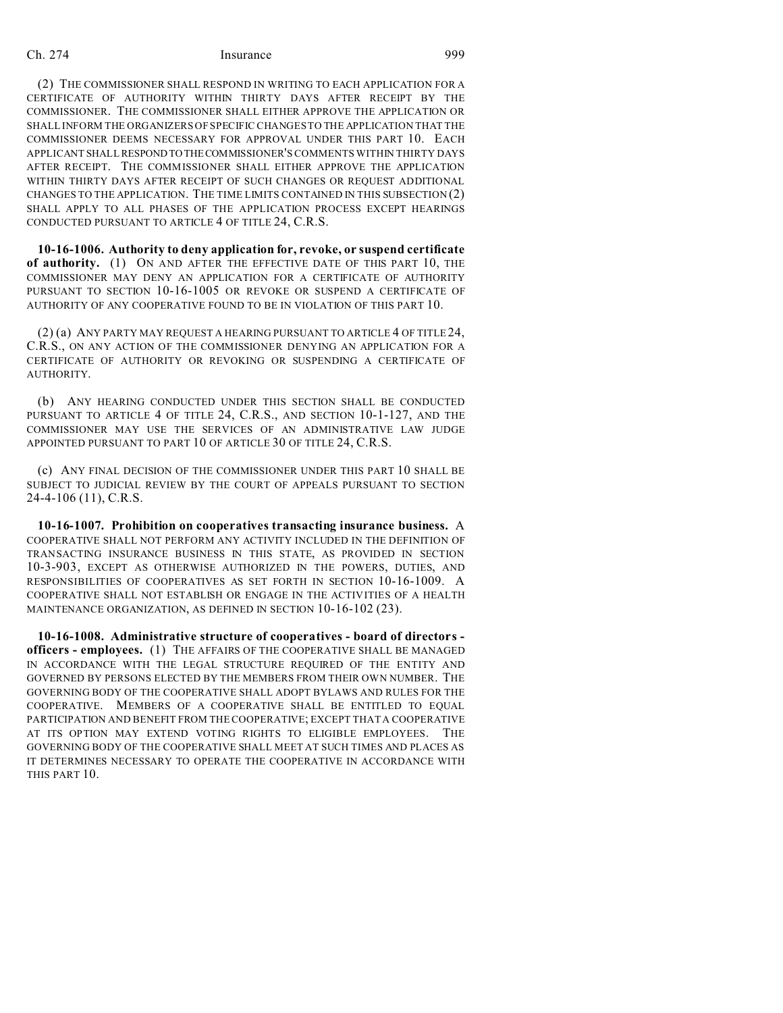(2) THE COMMISSIONER SHALL RESPOND IN WRITING TO EACH APPLICATION FOR A CERTIFICATE OF AUTHORITY WITHIN THIRTY DAYS AFTER RECEIPT BY THE COMMISSIONER. THE COMMISSIONER SHALL EITHER APPROVE THE APPLICATION OR SHALL INFORM THE ORGANIZERS OF SPECIFIC CHANGES TO THE APPLICATION THAT THE COMMISSIONER DEEMS NECESSARY FOR APPROVAL UNDER THIS PART 10. EACH APPLICANT SHALLRESPONDTO THECOMMISSIONER'S COMMENTS WITHIN THIRTY DAYS AFTER RECEIPT. THE COMMISSIONER SHALL EITHER APPROVE THE APPLICATION WITHIN THIRTY DAYS AFTER RECEIPT OF SUCH CHANGES OR REQUEST ADDITIONAL CHANGES TO THE APPLICATION. THE TIME LIMITS CONTAINED IN THIS SUBSECTION (2) SHALL APPLY TO ALL PHASES OF THE APPLICATION PROCESS EXCEPT HEARINGS CONDUCTED PURSUANT TO ARTICLE 4 OF TITLE 24, C.R.S.

**10-16-1006. Authority to deny application for, revoke, or suspend certificate of authority.** (1) ON AND AFTER THE EFFECTIVE DATE OF THIS PART 10, THE COMMISSIONER MAY DENY AN APPLICATION FOR A CERTIFICATE OF AUTHORITY PURSUANT TO SECTION 10-16-1005 OR REVOKE OR SUSPEND A CERTIFICATE OF AUTHORITY OF ANY COOPERATIVE FOUND TO BE IN VIOLATION OF THIS PART 10.

(2) (a) ANY PARTY MAY REQUEST A HEARING PURSUANT TO ARTICLE 4 OF TITLE 24, C.R.S., ON ANY ACTION OF THE COMMISSIONER DENYING AN APPLICATION FOR A CERTIFICATE OF AUTHORITY OR REVOKING OR SUSPENDING A CERTIFICATE OF AUTHORITY.

(b) ANY HEARING CONDUCTED UNDER THIS SECTION SHALL BE CONDUCTED PURSUANT TO ARTICLE 4 OF TITLE 24, C.R.S., AND SECTION 10-1-127, AND THE COMMISSIONER MAY USE THE SERVICES OF AN ADMINISTRATIVE LAW JUDGE APPOINTED PURSUANT TO PART 10 OF ARTICLE 30 OF TITLE 24, C.R.S.

(c) ANY FINAL DECISION OF THE COMMISSIONER UNDER THIS PART 10 SHALL BE SUBJECT TO JUDICIAL REVIEW BY THE COURT OF APPEALS PURSUANT TO SECTION 24-4-106 (11), C.R.S.

**10-16-1007. Prohibition on cooperatives transacting insurance business.** A COOPERATIVE SHALL NOT PERFORM ANY ACTIVITY INCLUDED IN THE DEFINITION OF TRANSACTING INSURANCE BUSINESS IN THIS STATE, AS PROVIDED IN SECTION 10-3-903, EXCEPT AS OTHERWISE AUTHORIZED IN THE POWERS, DUTIES, AND RESPONSIBILITIES OF COOPERATIVES AS SET FORTH IN SECTION 10-16-1009. A COOPERATIVE SHALL NOT ESTABLISH OR ENGAGE IN THE ACTIVITIES OF A HEALTH MAINTENANCE ORGANIZATION, AS DEFINED IN SECTION 10-16-102 (23).

**10-16-1008. Administrative structure of cooperatives - board of directors officers - employees.** (1) THE AFFAIRS OF THE COOPERATIVE SHALL BE MANAGED IN ACCORDANCE WITH THE LEGAL STRUCTURE REQUIRED OF THE ENTITY AND GOVERNED BY PERSONS ELECTED BY THE MEMBERS FROM THEIR OWN NUMBER. THE GOVERNING BODY OF THE COOPERATIVE SHALL ADOPT BYLAWS AND RULES FOR THE COOPERATIVE. MEMBERS OF A COOPERATIVE SHALL BE ENTITLED TO EQUAL PARTICIPATION AND BENEFIT FROM THE COOPERATIVE; EXCEPT THAT A COOPERATIVE AT ITS OPTION MAY EXTEND VOTING RIGHTS TO ELIGIBLE EMPLOYEES. THE GOVERNING BODY OF THE COOPERATIVE SHALL MEET AT SUCH TIMES AND PLACES AS IT DETERMINES NECESSARY TO OPERATE THE COOPERATIVE IN ACCORDANCE WITH THIS PART 10.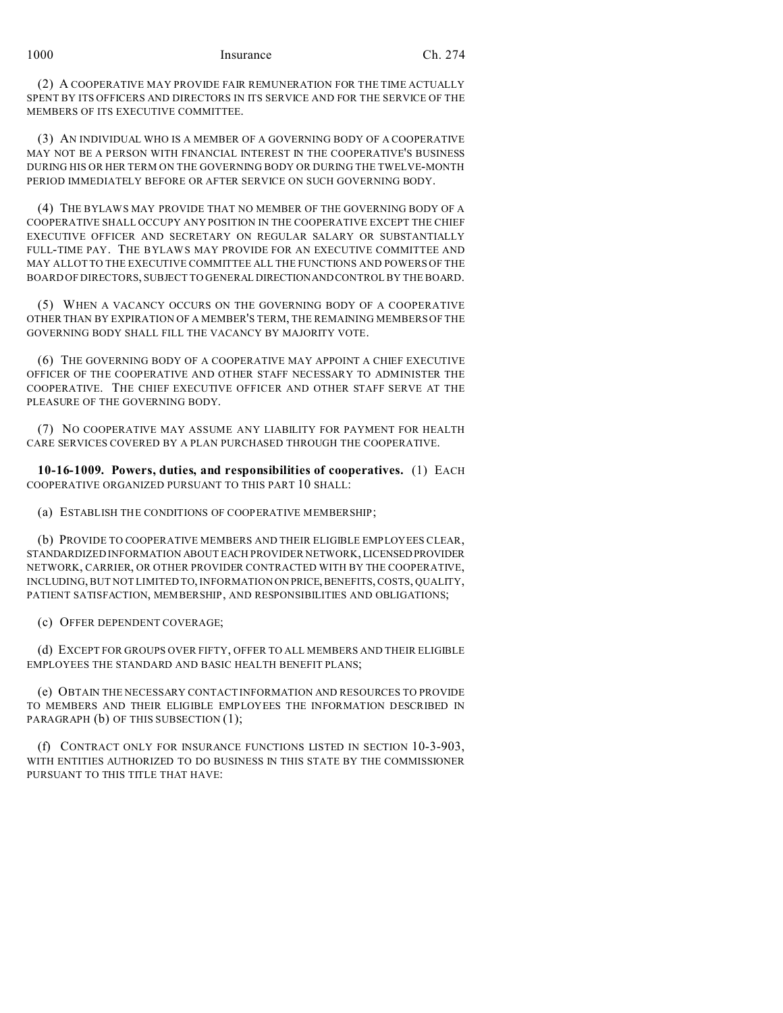(2) A COOPERATIVE MAY PROVIDE FAIR REMUNERATION FOR THE TIME ACTUALLY SPENT BY ITS OFFICERS AND DIRECTORS IN ITS SERVICE AND FOR THE SERVICE OF THE MEMBERS OF ITS EXECUTIVE COMMITTEE.

(3) AN INDIVIDUAL WHO IS A MEMBER OF A GOVERNING BODY OF A COOPERATIVE MAY NOT BE A PERSON WITH FINANCIAL INTEREST IN THE COOPERATIVE'S BUSINESS DURING HIS OR HER TERM ON THE GOVERNING BODY OR DURING THE TWELVE-MONTH PERIOD IMMEDIATELY BEFORE OR AFTER SERVICE ON SUCH GOVERNING BODY.

(4) THE BYLAWS MAY PROVIDE THAT NO MEMBER OF THE GOVERNING BODY OF A COOPERATIVE SHALL OCCUPY ANY POSITION IN THE COOPERATIVE EXCEPT THE CHIEF EXECUTIVE OFFICER AND SECRETARY ON REGULAR SALARY OR SUBSTANTIALLY FULL-TIME PAY. THE BYLAWS MAY PROVIDE FOR AN EXECUTIVE COMMITTEE AND MAY ALLOT TO THE EXECUTIVE COMMITTEE ALL THE FUNCTIONS AND POWERS OF THE BOARD OF DIRECTORS, SUBJECT TO GENERAL DIRECTIONANDCONTROL BY THE BOARD.

(5) WHEN A VACANCY OCCURS ON THE GOVERNING BODY OF A COOPERATIVE OTHER THAN BY EXPIRATION OF A MEMBER'S TERM, THE REMAINING MEMBERS OF THE GOVERNING BODY SHALL FILL THE VACANCY BY MAJORITY VOTE.

(6) THE GOVERNING BODY OF A COOPERATIVE MAY APPOINT A CHIEF EXECUTIVE OFFICER OF THE COOPERATIVE AND OTHER STAFF NECESSARY TO ADMINISTER THE COOPERATIVE. THE CHIEF EXECUTIVE OFFICER AND OTHER STAFF SERVE AT THE PLEASURE OF THE GOVERNING BODY.

(7) NO COOPERATIVE MAY ASSUME ANY LIABILITY FOR PAYMENT FOR HEALTH CARE SERVICES COVERED BY A PLAN PURCHASED THROUGH THE COOPERATIVE.

**10-16-1009. Powers, duties, and responsibilities of cooperatives.** (1) EACH COOPERATIVE ORGANIZED PURSUANT TO THIS PART 10 SHALL:

(a) ESTABLISH THE CONDITIONS OF COOPERATIVE MEMBERSHIP;

(b) PROVIDE TO COOPERATIVE MEMBERS AND THEIR ELIGIBLE EMPLOYEES CLEAR, STANDARDIZED INFORMATION ABOUT EACH PROVIDER NETWORK, LICENSED PROVIDER NETWORK, CARRIER, OR OTHER PROVIDER CONTRACTED WITH BY THE COOPERATIVE, INCLUDING, BUT NOT LIMITED TO, INFORMATION ON PRICE,BENEFITS, COSTS, QUALITY, PATIENT SATISFACTION, MEMBERSHIP, AND RESPONSIBILITIES AND OBLIGATIONS;

(c) OFFER DEPENDENT COVERAGE;

(d) EXCEPT FOR GROUPS OVER FIFTY, OFFER TO ALL MEMBERS AND THEIR ELIGIBLE EMPLOYEES THE STANDARD AND BASIC HEALTH BENEFIT PLANS;

(e) OBTAIN THE NECESSARY CONTACT INFORMATION AND RESOURCES TO PROVIDE TO MEMBERS AND THEIR ELIGIBLE EMPLOYEES THE INFORMATION DESCRIBED IN PARAGRAPH (b) OF THIS SUBSECTION (1);

(f) CONTRACT ONLY FOR INSURANCE FUNCTIONS LISTED IN SECTION 10-3-903, WITH ENTITIES AUTHORIZED TO DO BUSINESS IN THIS STATE BY THE COMMISSIONER PURSUANT TO THIS TITLE THAT HAVE: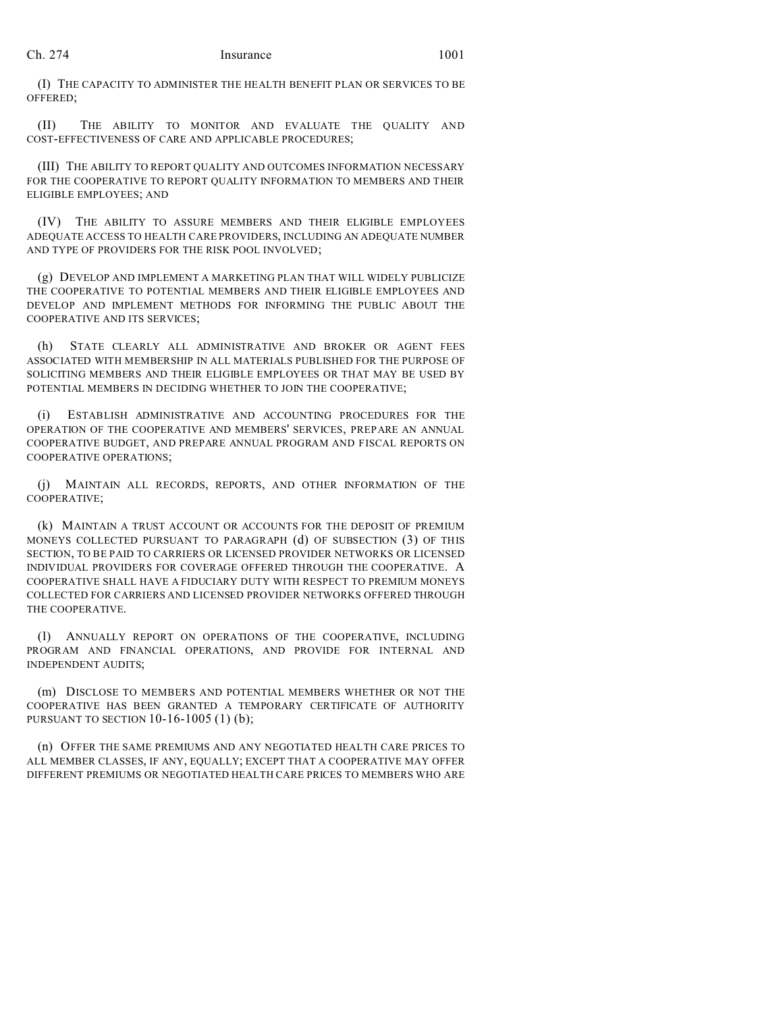(I) THE CAPACITY TO ADMINISTER THE HEALTH BENEFIT PLAN OR SERVICES TO BE OFFERED;

(II) THE ABILITY TO MONITOR AND EVALUATE THE QUALITY AND COST-EFFECTIVENESS OF CARE AND APPLICABLE PROCEDURES;

(III) THE ABILITY TO REPORT QUALITY AND OUTCOMES INFORMATION NECESSARY FOR THE COOPERATIVE TO REPORT QUALITY INFORMATION TO MEMBERS AND THEIR ELIGIBLE EMPLOYEES; AND

(IV) THE ABILITY TO ASSURE MEMBERS AND THEIR ELIGIBLE EMPLOYEES ADEQUATE ACCESS TO HEALTH CARE PROVIDERS, INCLUDING AN ADEQUATE NUMBER AND TYPE OF PROVIDERS FOR THE RISK POOL INVOLVED;

(g) DEVELOP AND IMPLEMENT A MARKETING PLAN THAT WILL WIDELY PUBLICIZE THE COOPERATIVE TO POTENTIAL MEMBERS AND THEIR ELIGIBLE EMPLOYEES AND DEVELOP AND IMPLEMENT METHODS FOR INFORMING THE PUBLIC ABOUT THE COOPERATIVE AND ITS SERVICES;

(h) STATE CLEARLY ALL ADMINISTRATIVE AND BROKER OR AGENT FEES ASSOCIATED WITH MEMBERSHIP IN ALL MATERIALS PUBLISHED FOR THE PURPOSE OF SOLICITING MEMBERS AND THEIR ELIGIBLE EMPLOYEES OR THAT MAY BE USED BY POTENTIAL MEMBERS IN DECIDING WHETHER TO JOIN THE COOPERATIVE;

(i) ESTABLISH ADMINISTRATIVE AND ACCOUNTING PROCEDURES FOR THE OPERATION OF THE COOPERATIVE AND MEMBERS' SERVICES, PREPARE AN ANNUAL COOPERATIVE BUDGET, AND PREPARE ANNUAL PROGRAM AND FISCAL REPORTS ON COOPERATIVE OPERATIONS;

(j) MAINTAIN ALL RECORDS, REPORTS, AND OTHER INFORMATION OF THE COOPERATIVE;

(k) MAINTAIN A TRUST ACCOUNT OR ACCOUNTS FOR THE DEPOSIT OF PREMIUM MONEYS COLLECTED PURSUANT TO PARAGRAPH (d) OF SUBSECTION (3) OF THIS SECTION, TO BE PAID TO CARRIERS OR LICENSED PROVIDER NETWORKS OR LICENSED INDIVIDUAL PROVIDERS FOR COVERAGE OFFERED THROUGH THE COOPERATIVE. A COOPERATIVE SHALL HAVE A FIDUCIARY DUTY WITH RESPECT TO PREMIUM MONEYS COLLECTED FOR CARRIERS AND LICENSED PROVIDER NETWORKS OFFERED THROUGH THE COOPERATIVE.

(l) ANNUALLY REPORT ON OPERATIONS OF THE COOPERATIVE, INCLUDING PROGRAM AND FINANCIAL OPERATIONS, AND PROVIDE FOR INTERNAL AND INDEPENDENT AUDITS;

(m) DISCLOSE TO MEMBERS AND POTENTIAL MEMBERS WHETHER OR NOT THE COOPERATIVE HAS BEEN GRANTED A TEMPORARY CERTIFICATE OF AUTHORITY PURSUANT TO SECTION 10-16-1005 (1) (b);

(n) OFFER THE SAME PREMIUMS AND ANY NEGOTIATED HEALTH CARE PRICES TO ALL MEMBER CLASSES, IF ANY, EQUALLY; EXCEPT THAT A COOPERATIVE MAY OFFER DIFFERENT PREMIUMS OR NEGOTIATED HEALTH CARE PRICES TO MEMBERS WHO ARE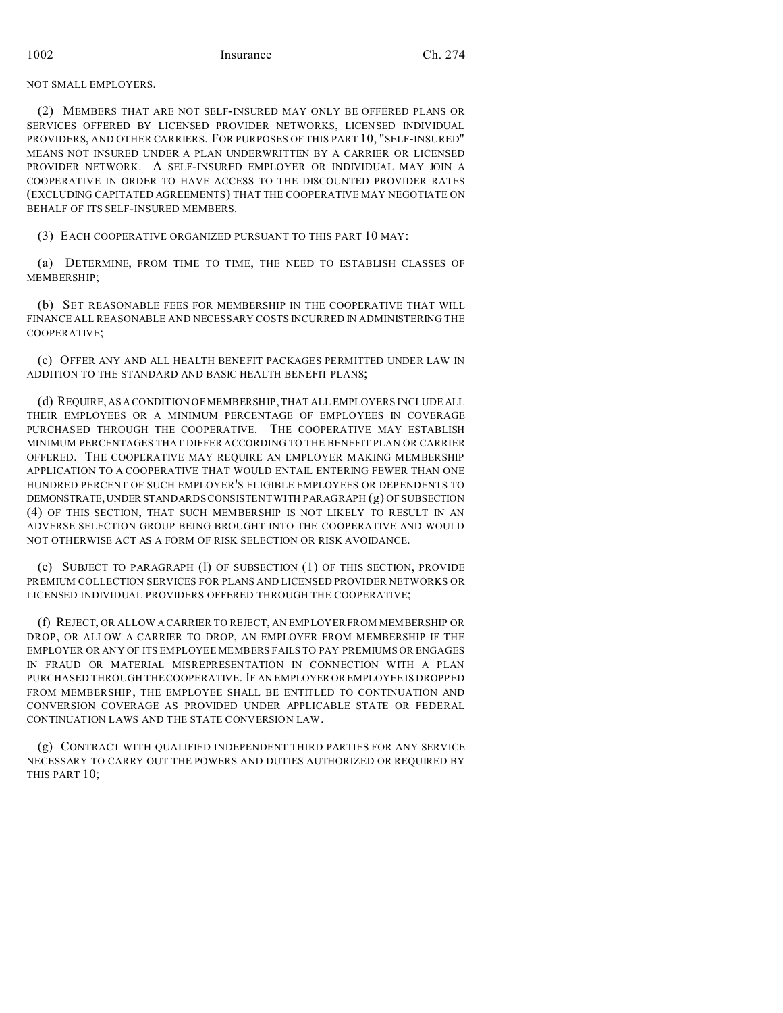NOT SMALL EMPLOYERS.

(2) MEMBERS THAT ARE NOT SELF-INSURED MAY ONLY BE OFFERED PLANS OR SERVICES OFFERED BY LICENSED PROVIDER NETWORKS, LICENSED INDIVIDUAL PROVIDERS, AND OTHER CARRIERS. FOR PURPOSES OF THIS PART 10, "SELF-INSURED" MEANS NOT INSURED UNDER A PLAN UNDERWRITTEN BY A CARRIER OR LICENSED PROVIDER NETWORK. A SELF-INSURED EMPLOYER OR INDIVIDUAL MAY JOIN A COOPERATIVE IN ORDER TO HAVE ACCESS TO THE DISCOUNTED PROVIDER RATES (EXCLUDING CAPITATED AGREEMENTS) THAT THE COOPERATIVE MAY NEGOTIATE ON BEHALF OF ITS SELF-INSURED MEMBERS.

(3) EACH COOPERATIVE ORGANIZED PURSUANT TO THIS PART 10 MAY:

(a) DETERMINE, FROM TIME TO TIME, THE NEED TO ESTABLISH CLASSES OF MEMBERSHIP;

(b) SET REASONABLE FEES FOR MEMBERSHIP IN THE COOPERATIVE THAT WILL FINANCE ALL REASONABLE AND NECESSARY COSTS INCURRED IN ADMINISTERING THE COOPERATIVE;

(c) OFFER ANY AND ALL HEALTH BENEFIT PACKAGES PERMITTED UNDER LAW IN ADDITION TO THE STANDARD AND BASIC HEALTH BENEFIT PLANS;

(d) REQUIRE, AS A CONDITION OF MEMBERSHIP, THAT ALL EMPLOYERS INCLUDE ALL THEIR EMPLOYEES OR A MINIMUM PERCENTAGE OF EMPLOYEES IN COVERAGE PURCHASED THROUGH THE COOPERATIVE. THE COOPERATIVE MAY ESTABLISH MINIMUM PERCENTAGES THAT DIFFER ACCORDING TO THE BENEFIT PLAN OR CARRIER OFFERED. THE COOPERATIVE MAY REQUIRE AN EMPLOYER MAKING MEMBERSHIP APPLICATION TO A COOPERATIVE THAT WOULD ENTAIL ENTERING FEWER THAN ONE HUNDRED PERCENT OF SUCH EMPLOYER'S ELIGIBLE EMPLOYEES OR DEPENDENTS TO DEMONSTRATE,UNDER STANDARDS CONSISTENT WITH PARAGRAPH (g) OF SUBSECTION (4) OF THIS SECTION, THAT SUCH MEMBERSHIP IS NOT LIKELY TO RESULT IN AN ADVERSE SELECTION GROUP BEING BROUGHT INTO THE COOPERATIVE AND WOULD NOT OTHERWISE ACT AS A FORM OF RISK SELECTION OR RISK AVOIDANCE.

(e) SUBJECT TO PARAGRAPH (l) OF SUBSECTION (1) OF THIS SECTION, PROVIDE PREMIUM COLLECTION SERVICES FOR PLANS AND LICENSED PROVIDER NETWORKS OR LICENSED INDIVIDUAL PROVIDERS OFFERED THROUGH THE COOPERATIVE;

(f) REJECT, OR ALLOW A CARRIER TO REJECT, AN EMPLOYER FROM MEMBERSHIP OR DROP, OR ALLOW A CARRIER TO DROP, AN EMPLOYER FROM MEMBERSHIP IF THE EMPLOYER OR ANY OF ITS EMPLOYEE MEMBERS FAILS TO PAY PREMIUMS OR ENGAGES IN FRAUD OR MATERIAL MISREPRESENTATION IN CONNECTION WITH A PLAN PURCHASED THROUGH THE COOPERATIVE. IF AN EMPLOYER OR EMPLOYEE IS DROPPED FROM MEMBERSHIP, THE EMPLOYEE SHALL BE ENTITLED TO CONTINUATION AND CONVERSION COVERAGE AS PROVIDED UNDER APPLICABLE STATE OR FEDERAL CONTINUATION LAWS AND THE STATE CONVERSION LAW.

(g) CONTRACT WITH QUALIFIED INDEPENDENT THIRD PARTIES FOR ANY SERVICE NECESSARY TO CARRY OUT THE POWERS AND DUTIES AUTHORIZED OR REQUIRED BY THIS PART 10;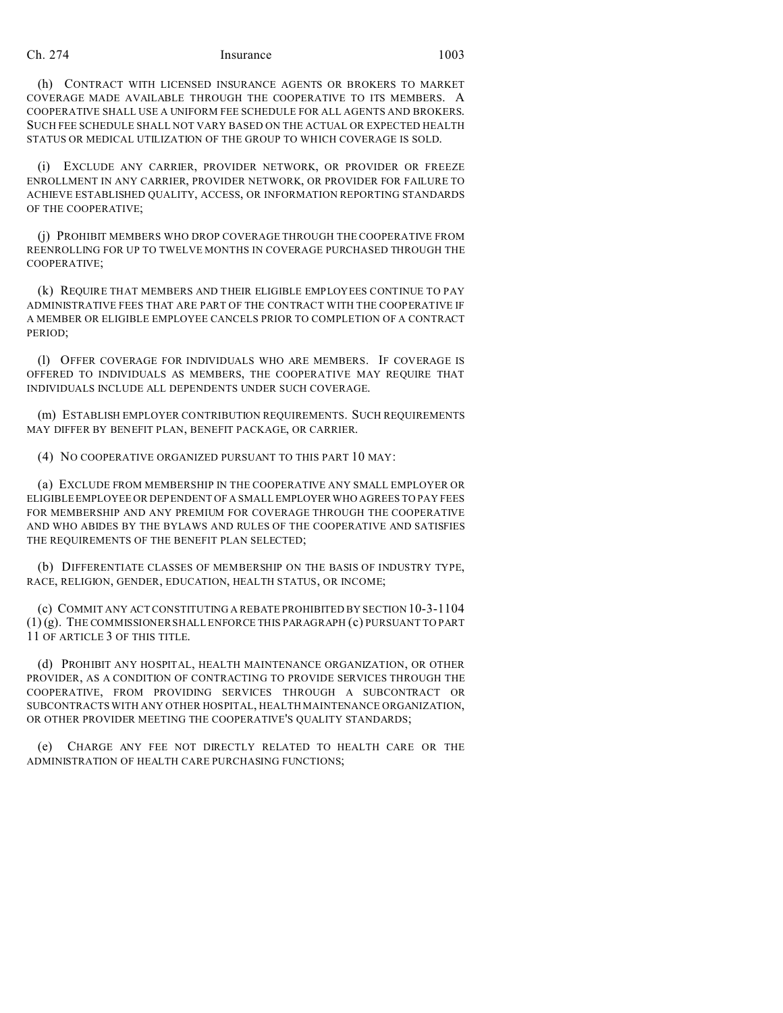(h) CONTRACT WITH LICENSED INSURANCE AGENTS OR BROKERS TO MARKET COVERAGE MADE AVAILABLE THROUGH THE COOPERATIVE TO ITS MEMBERS. A COOPERATIVE SHALL USE A UNIFORM FEE SCHEDULE FOR ALL AGENTS AND BROKERS. SUCH FEE SCHEDULE SHALL NOT VARY BASED ON THE ACTUAL OR EXPECTED HEALTH STATUS OR MEDICAL UTILIZATION OF THE GROUP TO WHICH COVERAGE IS SOLD.

(i) EXCLUDE ANY CARRIER, PROVIDER NETWORK, OR PROVIDER OR FREEZE ENROLLMENT IN ANY CARRIER, PROVIDER NETWORK, OR PROVIDER FOR FAILURE TO ACHIEVE ESTABLISHED QUALITY, ACCESS, OR INFORMATION REPORTING STANDARDS OF THE COOPERATIVE;

(j) PROHIBIT MEMBERS WHO DROP COVERAGE THROUGH THE COOPERATIVE FROM REENROLLING FOR UP TO TWELVE MONTHS IN COVERAGE PURCHASED THROUGH THE COOPERATIVE;

(k) REQUIRE THAT MEMBERS AND THEIR ELIGIBLE EMPLOYEES CONTINUE TO PAY ADMINISTRATIVE FEES THAT ARE PART OF THE CONTRACT WITH THE COOPERATIVE IF A MEMBER OR ELIGIBLE EMPLOYEE CANCELS PRIOR TO COMPLETION OF A CONTRACT PERIOD;

(l) OFFER COVERAGE FOR INDIVIDUALS WHO ARE MEMBERS. IF COVERAGE IS OFFERED TO INDIVIDUALS AS MEMBERS, THE COOPERATIVE MAY REQUIRE THAT INDIVIDUALS INCLUDE ALL DEPENDENTS UNDER SUCH COVERAGE.

(m) ESTABLISH EMPLOYER CONTRIBUTION REQUIREMENTS. SUCH REQUIREMENTS MAY DIFFER BY BENEFIT PLAN, BENEFIT PACKAGE, OR CARRIER.

(4) NO COOPERATIVE ORGANIZED PURSUANT TO THIS PART 10 MAY:

(a) EXCLUDE FROM MEMBERSHIP IN THE COOPERATIVE ANY SMALL EMPLOYER OR ELIGIBLE EMPLOYEE OR DEPENDENT OF A SMALL EMPLOYER WHO AGREES TO PAY FEES FOR MEMBERSHIP AND ANY PREMIUM FOR COVERAGE THROUGH THE COOPERATIVE AND WHO ABIDES BY THE BYLAWS AND RULES OF THE COOPERATIVE AND SATISFIES THE REQUIREMENTS OF THE BENEFIT PLAN SELECTED;

(b) DIFFERENTIATE CLASSES OF MEMBERSHIP ON THE BASIS OF INDUSTRY TYPE, RACE, RELIGION, GENDER, EDUCATION, HEALTH STATUS, OR INCOME;

(c) COMMIT ANY ACT CONSTITUTING A REBATE PROHIBITED BY SECTION 10-3-1104 (1) (g). THE COMMISSIONER SHALL ENFORCE THIS PARAGRAPH (c) PURSUANT TO PART 11 OF ARTICLE 3 OF THIS TITLE.

(d) PROHIBIT ANY HOSPITAL, HEALTH MAINTENANCE ORGANIZATION, OR OTHER PROVIDER, AS A CONDITION OF CONTRACTING TO PROVIDE SERVICES THROUGH THE COOPERATIVE, FROM PROVIDING SERVICES THROUGH A SUBCONTRACT OR SUBCONTRACTS WITH ANY OTHER HOSPITAL, HEALTH MAINTENANCE ORGANIZATION, OR OTHER PROVIDER MEETING THE COOPERATIVE'S QUALITY STANDARDS;

(e) CHARGE ANY FEE NOT DIRECTLY RELATED TO HEALTH CARE OR THE ADMINISTRATION OF HEALTH CARE PURCHASING FUNCTIONS;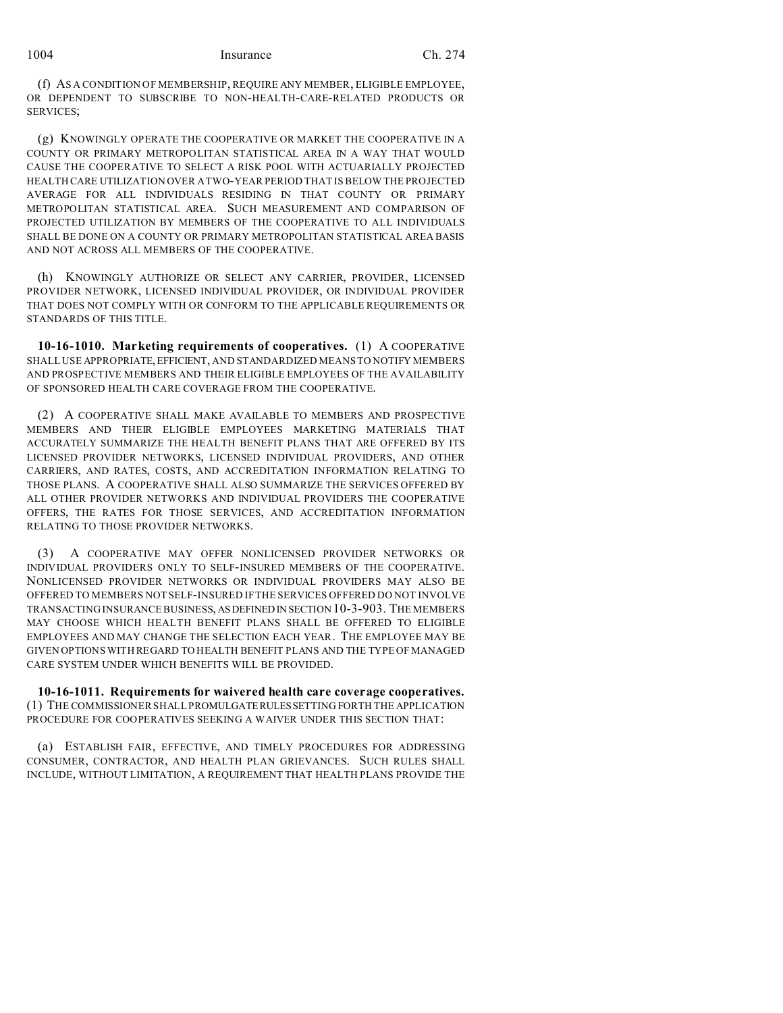(f) AS A CONDITION OF MEMBERSHIP, REQUIRE ANY MEMBER, ELIGIBLE EMPLOYEE, OR DEPENDENT TO SUBSCRIBE TO NON-HEALTH-CARE-RELATED PRODUCTS OR SERVICES;

(g) KNOWINGLY OPERATE THE COOPERATIVE OR MARKET THE COOPERATIVE IN A COUNTY OR PRIMARY METROPOLITAN STATISTICAL AREA IN A WAY THAT WOULD CAUSE THE COOPERATIVE TO SELECT A RISK POOL WITH ACTUARIALLY PROJECTED HEALTH CARE UTILIZATION OVER A TWO-YEAR PERIOD THAT IS BELOW THE PROJECTED AVERAGE FOR ALL INDIVIDUALS RESIDING IN THAT COUNTY OR PRIMARY METROPOLITAN STATISTICAL AREA. SUCH MEASUREMENT AND COMPARISON OF PROJECTED UTILIZATION BY MEMBERS OF THE COOPERATIVE TO ALL INDIVIDUALS SHALL BE DONE ON A COUNTY OR PRIMARY METROPOLITAN STATISTICAL AREA BASIS AND NOT ACROSS ALL MEMBERS OF THE COOPERATIVE.

(h) KNOWINGLY AUTHORIZE OR SELECT ANY CARRIER, PROVIDER, LICENSED PROVIDER NETWORK, LICENSED INDIVIDUAL PROVIDER, OR INDIVIDUAL PROVIDER THAT DOES NOT COMPLY WITH OR CONFORM TO THE APPLICABLE REQUIREMENTS OR STANDARDS OF THIS TITLE.

**10-16-1010. Marketing requirements of cooperatives.** (1) A COOPERATIVE SHALL USE APPROPRIATE,EFFICIENT, AND STANDARDIZED MEANS TO NOTIFY MEMBERS AND PROSPECTIVE MEMBERS AND THEIR ELIGIBLE EMPLOYEES OF THE AVAILABILITY OF SPONSORED HEALTH CARE COVERAGE FROM THE COOPERATIVE.

(2) A COOPERATIVE SHALL MAKE AVAILABLE TO MEMBERS AND PROSPECTIVE MEMBERS AND THEIR ELIGIBLE EMPLOYEES MARKETING MATERIALS THAT ACCURATELY SUMMARIZE THE HEALTH BENEFIT PLANS THAT ARE OFFERED BY ITS LICENSED PROVIDER NETWORKS, LICENSED INDIVIDUAL PROVIDERS, AND OTHER CARRIERS, AND RATES, COSTS, AND ACCREDITATION INFORMATION RELATING TO THOSE PLANS. A COOPERATIVE SHALL ALSO SUMMARIZE THE SERVICES OFFERED BY ALL OTHER PROVIDER NETWORKS AND INDIVIDUAL PROVIDERS THE COOPERATIVE OFFERS, THE RATES FOR THOSE SERVICES, AND ACCREDITATION INFORMATION RELATING TO THOSE PROVIDER NETWORKS.

(3) A COOPERATIVE MAY OFFER NONLICENSED PROVIDER NETWORKS OR INDIVIDUAL PROVIDERS ONLY TO SELF-INSURED MEMBERS OF THE COOPERATIVE. NONLICENSED PROVIDER NETWORKS OR INDIVIDUAL PROVIDERS MAY ALSO BE OFFERED TO MEMBERS NOT SELF-INSURED IF THE SERVICES OFFERED DO NOT INVOLVE TRANSACTING INSURANCE BUSINESS, ASDEFINEDIN SECTION 10-3-903. THE MEMBERS MAY CHOOSE WHICH HEALTH BENEFIT PLANS SHALL BE OFFERED TO ELIGIBLE EMPLOYEES AND MAY CHANGE THE SELECTION EACH YEAR. THE EMPLOYEE MAY BE GIVEN OPTIONS WITH REGARD TO HEALTH BENEFIT PLANS AND THE TYPE OF MANAGED CARE SYSTEM UNDER WHICH BENEFITS WILL BE PROVIDED.

**10-16-1011. Requirements for waivered health care coverage cooperatives.** (1) THE COMMISSIONER SHALL PROMULGATERULESSETTING FORTH THE APPLICATION PROCEDURE FOR COOPERATIVES SEEKING A WAIVER UNDER THIS SECTION THAT:

(a) ESTABLISH FAIR, EFFECTIVE, AND TIMELY PROCEDURES FOR ADDRESSING CONSUMER, CONTRACTOR, AND HEALTH PLAN GRIEVANCES. SUCH RULES SHALL INCLUDE, WITHOUT LIMITATION, A REQUIREMENT THAT HEALTH PLANS PROVIDE THE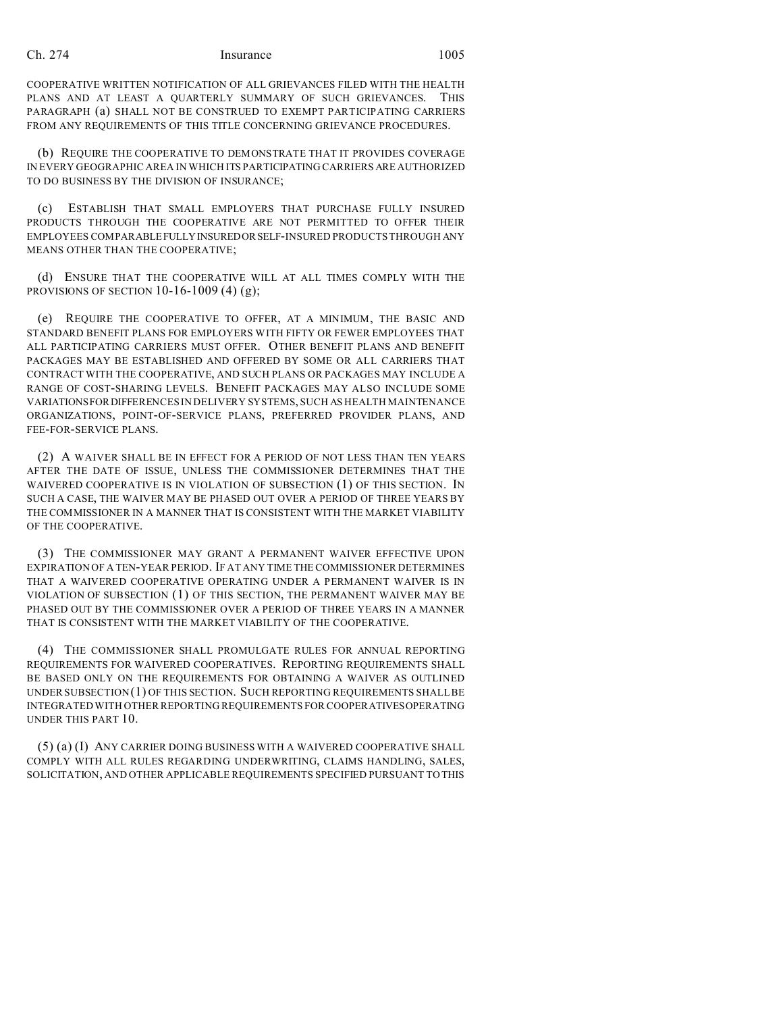COOPERATIVE WRITTEN NOTIFICATION OF ALL GRIEVANCES FILED WITH THE HEALTH PLANS AND AT LEAST A QUARTERLY SUMMARY OF SUCH GRIEVANCES. THIS PARAGRAPH (a) SHALL NOT BE CONSTRUED TO EXEMPT PARTICIPATING CARRIERS FROM ANY REQUIREMENTS OF THIS TITLE CONCERNING GRIEVANCE PROCEDURES.

(b) REQUIRE THE COOPERATIVE TO DEMONSTRATE THAT IT PROVIDES COVERAGE IN EVERY GEOGRAPHIC AREA IN WHICH ITS PARTICIPATING CARRIERS ARE AUTHORIZED TO DO BUSINESS BY THE DIVISION OF INSURANCE;

(c) ESTABLISH THAT SMALL EMPLOYERS THAT PURCHASE FULLY INSURED PRODUCTS THROUGH THE COOPERATIVE ARE NOT PERMITTED TO OFFER THEIR EMPLOYEES COMPARABLEFULLYINSUREDORSELF-INSURED PRODUCTS THROUGH ANY MEANS OTHER THAN THE COOPERATIVE;

(d) ENSURE THAT THE COOPERATIVE WILL AT ALL TIMES COMPLY WITH THE PROVISIONS OF SECTION  $10-16-1009$  (4) (g);

(e) REQUIRE THE COOPERATIVE TO OFFER, AT A MINIMUM, THE BASIC AND STANDARD BENEFIT PLANS FOR EMPLOYERS WITH FIFTY OR FEWER EMPLOYEES THAT ALL PARTICIPATING CARRIERS MUST OFFER. OTHER BENEFIT PLANS AND BENEFIT PACKAGES MAY BE ESTABLISHED AND OFFERED BY SOME OR ALL CARRIERS THAT CONTRACT WITH THE COOPERATIVE, AND SUCH PLANS OR PACKAGES MAY INCLUDE A RANGE OF COST-SHARING LEVELS. BENEFIT PACKAGES MAY ALSO INCLUDE SOME VARIATIONSFORDIFFERENCES IN DELIVERY SYSTEMS, SUCH AS HEALTH MAINTENANCE ORGANIZATIONS, POINT-OF-SERVICE PLANS, PREFERRED PROVIDER PLANS, AND FEE-FOR-SERVICE PLANS.

(2) A WAIVER SHALL BE IN EFFECT FOR A PERIOD OF NOT LESS THAN TEN YEARS AFTER THE DATE OF ISSUE, UNLESS THE COMMISSIONER DETERMINES THAT THE WAIVERED COOPERATIVE IS IN VIOLATION OF SUBSECTION (1) OF THIS SECTION. IN SUCH A CASE, THE WAIVER MAY BE PHASED OUT OVER A PERIOD OF THREE YEARS BY THE COMMISSIONER IN A MANNER THAT IS CONSISTENT WITH THE MARKET VIABILITY OF THE COOPERATIVE.

(3) THE COMMISSIONER MAY GRANT A PERMANENT WAIVER EFFECTIVE UPON EXPIRATION OF A TEN-YEAR PERIOD. IF AT ANY TIME THE COMMISSIONER DETERMINES THAT A WAIVERED COOPERATIVE OPERATING UNDER A PERMANENT WAIVER IS IN VIOLATION OF SUBSECTION (1) OF THIS SECTION, THE PERMANENT WAIVER MAY BE PHASED OUT BY THE COMMISSIONER OVER A PERIOD OF THREE YEARS IN A MANNER THAT IS CONSISTENT WITH THE MARKET VIABILITY OF THE COOPERATIVE.

(4) THE COMMISSIONER SHALL PROMULGATE RULES FOR ANNUAL REPORTING REQUIREMENTS FOR WAIVERED COOPERATIVES. REPORTING REQUIREMENTS SHALL BE BASED ONLY ON THE REQUIREMENTS FOR OBTAINING A WAIVER AS OUTLINED UNDER SUBSECTION (1) OF THIS SECTION. SUCH REPORTING REQUIREMENTS SHALL BE INTEGRATED WITH OTHER REPORTING REQUIREMENTS FOR COOPERATIVESOPERATING UNDER THIS PART 10.

(5) (a) (I) ANY CARRIER DOING BUSINESS WITH A WAIVERED COOPERATIVE SHALL COMPLY WITH ALL RULES REGARDING UNDERWRITING, CLAIMS HANDLING, SALES, SOLICITATION, AND OTHER APPLICABLE REQUIREMENTS SPECIFIED PURSUANT TO THIS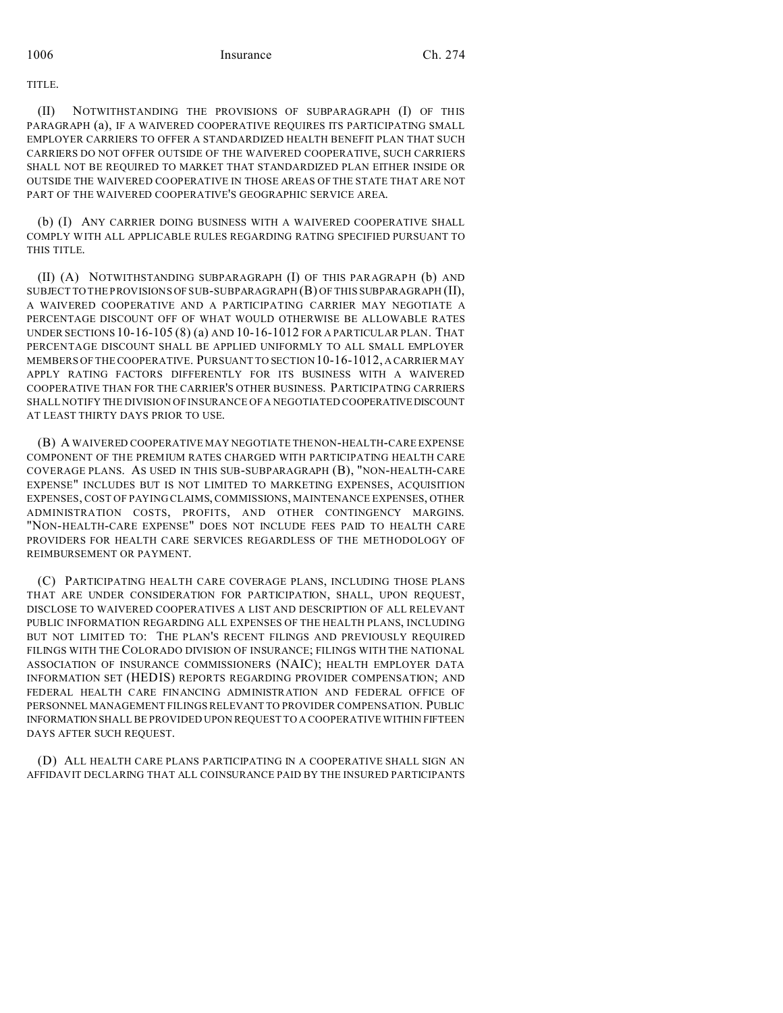TITLE.

(II) NOTWITHSTANDING THE PROVISIONS OF SUBPARAGRAPH (I) OF THIS PARAGRAPH (a), IF A WAIVERED COOPERATIVE REQUIRES ITS PARTICIPATING SMALL EMPLOYER CARRIERS TO OFFER A STANDARDIZED HEALTH BENEFIT PLAN THAT SUCH CARRIERS DO NOT OFFER OUTSIDE OF THE WAIVERED COOPERATIVE, SUCH CARRIERS SHALL NOT BE REQUIRED TO MARKET THAT STANDARDIZED PLAN EITHER INSIDE OR OUTSIDE THE WAIVERED COOPERATIVE IN THOSE AREAS OF THE STATE THAT ARE NOT PART OF THE WAIVERED COOPERATIVE'S GEOGRAPHIC SERVICE AREA.

(b) (I) ANY CARRIER DOING BUSINESS WITH A WAIVERED COOPERATIVE SHALL COMPLY WITH ALL APPLICABLE RULES REGARDING RATING SPECIFIED PURSUANT TO THIS TITLE.

(II) (A) NOTWITHSTANDING SUBPARAGRAPH (I) OF THIS PARAGRAPH (b) AND SUBJECT TO THE PROVISIONS OF SUB-SUBPARAGRAPH (B) OF THIS SUBPARAGRAPH (II), A WAIVERED COOPERATIVE AND A PARTICIPATING CARRIER MAY NEGOTIATE A PERCENTAGE DISCOUNT OFF OF WHAT WOULD OTHERWISE BE ALLOWABLE RATES UNDER SECTIONS 10-16-105 (8) (a) AND 10-16-1012 FOR A PARTICULAR PLAN. THAT PERCENTAGE DISCOUNT SHALL BE APPLIED UNIFORMLY TO ALL SMALL EMPLOYER MEMBERS OF THE COOPERATIVE. PURSUANT TO SECTION 10-16-1012, A CARRIER MAY APPLY RATING FACTORS DIFFERENTLY FOR ITS BUSINESS WITH A WAIVERED COOPERATIVE THAN FOR THE CARRIER'S OTHER BUSINESS. PARTICIPATING CARRIERS SHALL NOTIFY THE DIVISION OF INSURANCE OF A NEGOTIATED COOPERATIVEDISCOUNT AT LEAST THIRTY DAYS PRIOR TO USE.

(B) A WAIVERED COOPERATIVE MAY NEGOTIATE THE NON-HEALTH-CARE EXPENSE COMPONENT OF THE PREMIUM RATES CHARGED WITH PARTICIPATING HEALTH CARE COVERAGE PLANS. AS USED IN THIS SUB-SUBPARAGRAPH (B), "NON-HEALTH-CARE EXPENSE" INCLUDES BUT IS NOT LIMITED TO MARKETING EXPENSES, ACQUISITION EXPENSES, COST OF PAYING CLAIMS, COMMISSIONS, MAINTENANCE EXPENSES, OTHER ADMINISTRATION COSTS, PROFITS, AND OTHER CONTINGENCY MARGINS. "NON-HEALTH-CARE EXPENSE" DOES NOT INCLUDE FEES PAID TO HEALTH CARE PROVIDERS FOR HEALTH CARE SERVICES REGARDLESS OF THE METHODOLOGY OF REIMBURSEMENT OR PAYMENT.

(C) PARTICIPATING HEALTH CARE COVERAGE PLANS, INCLUDING THOSE PLANS THAT ARE UNDER CONSIDERATION FOR PARTICIPATION, SHALL, UPON REQUEST, DISCLOSE TO WAIVERED COOPERATIVES A LIST AND DESCRIPTION OF ALL RELEVANT PUBLIC INFORMATION REGARDING ALL EXPENSES OF THE HEALTH PLANS, INCLUDING BUT NOT LIMITED TO: THE PLAN'S RECENT FILINGS AND PREVIOUSLY REQUIRED FILINGS WITH THE COLORADO DIVISION OF INSURANCE; FILINGS WITH THE NATIONAL ASSOCIATION OF INSURANCE COMMISSIONERS (NAIC); HEALTH EMPLOYER DATA INFORMATION SET (HEDIS) REPORTS REGARDING PROVIDER COMPENSATION; AND FEDERAL HEALTH CARE FINANCING ADMINISTRATION AND FEDERAL OFFICE OF PERSONNEL MANAGEMENT FILINGS RELEVANT TO PROVIDER COMPENSATION. PUBLIC INFORMATION SHALL BE PROVIDED UPON REQUEST TO A COOPERATIVE WITHIN FIFTEEN DAYS AFTER SUCH REQUEST.

(D) ALL HEALTH CARE PLANS PARTICIPATING IN A COOPERATIVE SHALL SIGN AN AFFIDAVIT DECLARING THAT ALL COINSURANCE PAID BY THE INSURED PARTICIPANTS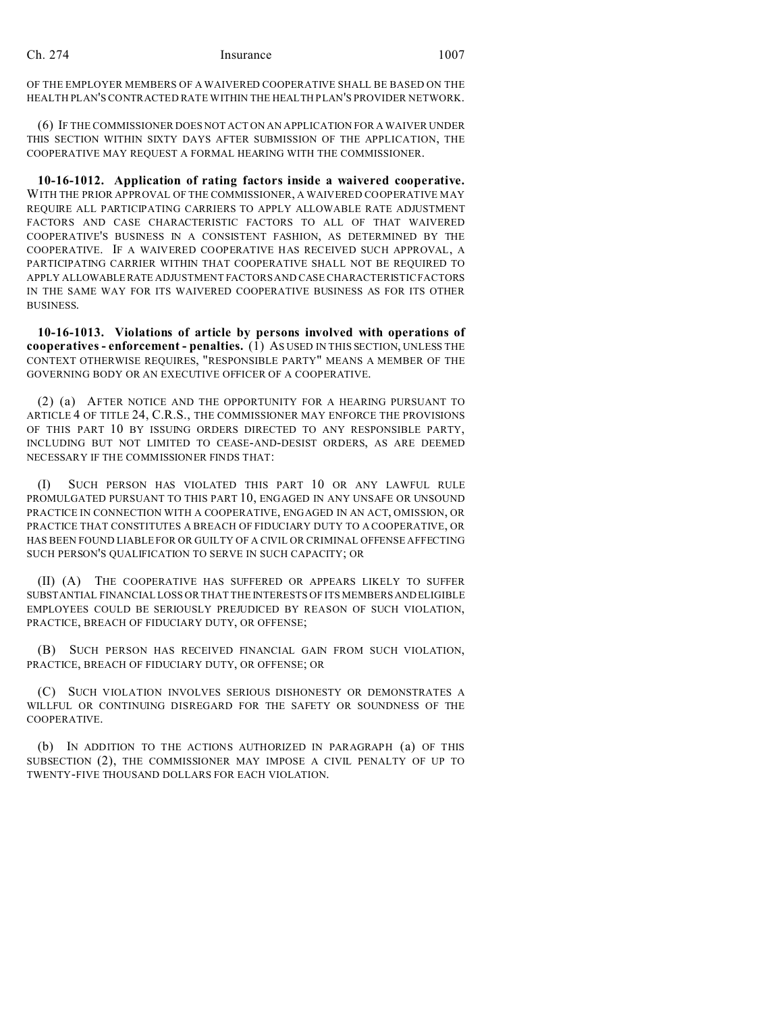OF THE EMPLOYER MEMBERS OF A WAIVERED COOPERATIVE SHALL BE BASED ON THE HEALTH PLAN'S CONTRACTED RATE WITHIN THE HEALTH PLAN'S PROVIDER NETWORK.

(6) IF THE COMMISSIONER DOES NOT ACT ON AN APPLICATION FOR A WAIVER UNDER THIS SECTION WITHIN SIXTY DAYS AFTER SUBMISSION OF THE APPLICATION, THE COOPERATIVE MAY REQUEST A FORMAL HEARING WITH THE COMMISSIONER.

**10-16-1012. Application of rating factors inside a waivered cooperative.** WITH THE PRIOR APPROVAL OF THE COMMISSIONER, A WAIVERED COOPERATIVE MAY REQUIRE ALL PARTICIPATING CARRIERS TO APPLY ALLOWABLE RATE ADJUSTMENT FACTORS AND CASE CHARACTERISTIC FACTORS TO ALL OF THAT WAIVERED COOPERATIVE'S BUSINESS IN A CONSISTENT FASHION, AS DETERMINED BY THE COOPERATIVE. IF A WAIVERED COOPERATIVE HAS RECEIVED SUCH APPROVAL, A PARTICIPATING CARRIER WITHIN THAT COOPERATIVE SHALL NOT BE REQUIRED TO APPLY ALLOWABLERATE ADJUSTMENT FACTORS AND CASE CHARACTERISTIC FACTORS IN THE SAME WAY FOR ITS WAIVERED COOPERATIVE BUSINESS AS FOR ITS OTHER BUSINESS.

**10-16-1013. Violations of article by persons involved with operations of cooperatives - enforcement - penalties.** (1) AS USED IN THIS SECTION, UNLESS THE CONTEXT OTHERWISE REQUIRES, "RESPONSIBLE PARTY" MEANS A MEMBER OF THE GOVERNING BODY OR AN EXECUTIVE OFFICER OF A COOPERATIVE.

(2) (a) AFTER NOTICE AND THE OPPORTUNITY FOR A HEARING PURSUANT TO ARTICLE 4 OF TITLE 24, C.R.S., THE COMMISSIONER MAY ENFORCE THE PROVISIONS OF THIS PART 10 BY ISSUING ORDERS DIRECTED TO ANY RESPONSIBLE PARTY, INCLUDING BUT NOT LIMITED TO CEASE-AND-DESIST ORDERS, AS ARE DEEMED NECESSARY IF THE COMMISSIONER FINDS THAT:

(I) SUCH PERSON HAS VIOLATED THIS PART 10 OR ANY LAWFUL RULE PROMULGATED PURSUANT TO THIS PART 10, ENGAGED IN ANY UNSAFE OR UNSOUND PRACTICE IN CONNECTION WITH A COOPERATIVE, ENGAGED IN AN ACT, OMISSION, OR PRACTICE THAT CONSTITUTES A BREACH OF FIDUCIARY DUTY TO A COOPERATIVE, OR HAS BEEN FOUND LIABLE FOR OR GUILTY OF A CIVIL OR CRIMINAL OFFENSE AFFECTING SUCH PERSON'S QUALIFICATION TO SERVE IN SUCH CAPACITY; OR

(II) (A) THE COOPERATIVE HAS SUFFERED OR APPEARS LIKELY TO SUFFER SUBSTANTIAL FINANCIAL LOSS OR THAT THE INTERESTS OF ITS MEMBERSANDELIGIBLE EMPLOYEES COULD BE SERIOUSLY PREJUDICED BY REASON OF SUCH VIOLATION, PRACTICE, BREACH OF FIDUCIARY DUTY, OR OFFENSE;

(B) SUCH PERSON HAS RECEIVED FINANCIAL GAIN FROM SUCH VIOLATION, PRACTICE, BREACH OF FIDUCIARY DUTY, OR OFFENSE; OR

(C) SUCH VIOLATION INVOLVES SERIOUS DISHONESTY OR DEMONSTRATES A WILLFUL OR CONTINUING DISREGARD FOR THE SAFETY OR SOUNDNESS OF THE COOPERATIVE.

(b) IN ADDITION TO THE ACTIONS AUTHORIZED IN PARAGRAPH (a) OF THIS SUBSECTION (2), THE COMMISSIONER MAY IMPOSE A CIVIL PENALTY OF UP TO TWENTY-FIVE THOUSAND DOLLARS FOR EACH VIOLATION.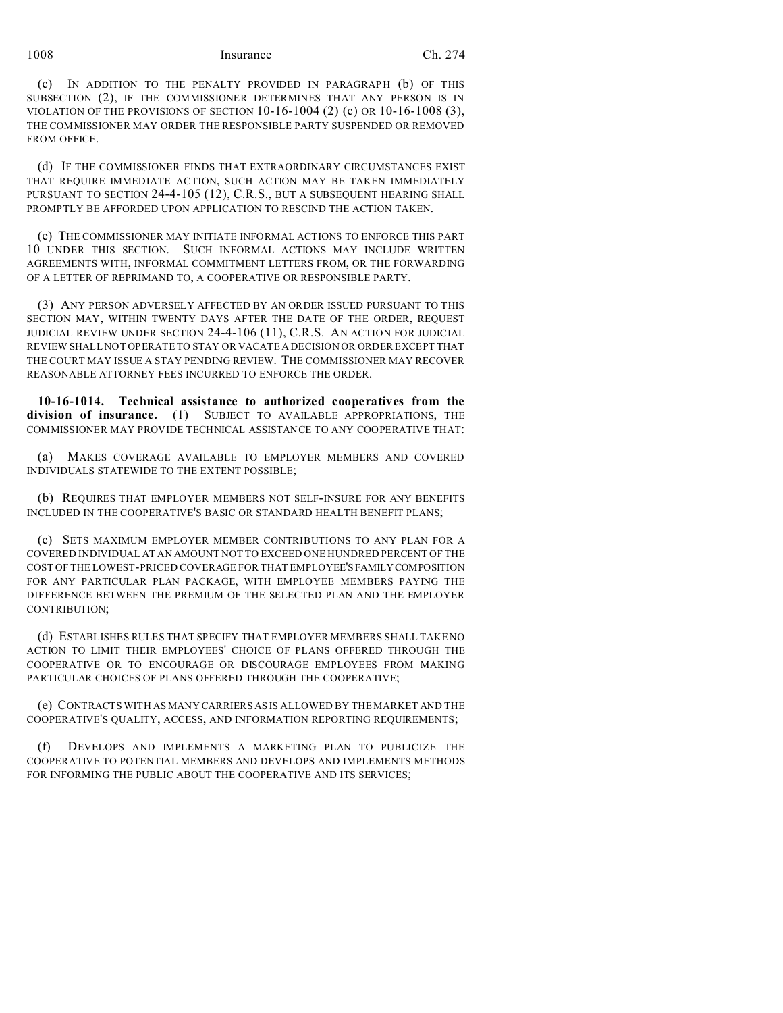(c) IN ADDITION TO THE PENALTY PROVIDED IN PARAGRAPH (b) OF THIS SUBSECTION (2), IF THE COMMISSIONER DETERMINES THAT ANY PERSON IS IN VIOLATION OF THE PROVISIONS OF SECTION 10-16-1004 (2) (c) OR 10-16-1008 (3), THE COMMISSIONER MAY ORDER THE RESPONSIBLE PARTY SUSPENDED OR REMOVED FROM OFFICE.

(d) IF THE COMMISSIONER FINDS THAT EXTRAORDINARY CIRCUMSTANCES EXIST THAT REQUIRE IMMEDIATE ACTION, SUCH ACTION MAY BE TAKEN IMMEDIATELY PURSUANT TO SECTION 24-4-105 (12), C.R.S., BUT A SUBSEQUENT HEARING SHALL PROMPTLY BE AFFORDED UPON APPLICATION TO RESCIND THE ACTION TAKEN.

(e) THE COMMISSIONER MAY INITIATE INFORMAL ACTIONS TO ENFORCE THIS PART 10 UNDER THIS SECTION. SUCH INFORMAL ACTIONS MAY INCLUDE WRITTEN AGREEMENTS WITH, INFORMAL COMMITMENT LETTERS FROM, OR THE FORWARDING OF A LETTER OF REPRIMAND TO, A COOPERATIVE OR RESPONSIBLE PARTY.

(3) ANY PERSON ADVERSELY AFFECTED BY AN ORDER ISSUED PURSUANT TO THIS SECTION MAY, WITHIN TWENTY DAYS AFTER THE DATE OF THE ORDER, REQUEST JUDICIAL REVIEW UNDER SECTION 24-4-106 (11), C.R.S. AN ACTION FOR JUDICIAL REVIEW SHALL NOT OPERATE TO STAY OR VACATE A DECISION OR ORDER EXCEPT THAT THE COURT MAY ISSUE A STAY PENDING REVIEW. THE COMMISSIONER MAY RECOVER REASONABLE ATTORNEY FEES INCURRED TO ENFORCE THE ORDER.

**10-16-1014. Technical assistance to authorized cooperatives from the division of insurance.** (1) SUBJECT TO AVAILABLE APPROPRIATIONS, THE COMMISSIONER MAY PROVIDE TECHNICAL ASSISTANCE TO ANY COOPERATIVE THAT:

(a) MAKES COVERAGE AVAILABLE TO EMPLOYER MEMBERS AND COVERED INDIVIDUALS STATEWIDE TO THE EXTENT POSSIBLE;

(b) REQUIRES THAT EMPLOYER MEMBERS NOT SELF-INSURE FOR ANY BENEFITS INCLUDED IN THE COOPERATIVE'S BASIC OR STANDARD HEALTH BENEFIT PLANS;

(c) SETS MAXIMUM EMPLOYER MEMBER CONTRIBUTIONS TO ANY PLAN FOR A COVERED INDIVIDUAL AT AN AMOUNT NOT TO EXCEED ONE HUNDRED PERCENT OF THE COST OF THE LOWEST-PRICED COVERAGE FOR THAT EMPLOYEE'SFAMILYCOMPOSITION FOR ANY PARTICULAR PLAN PACKAGE, WITH EMPLOYEE MEMBERS PAYING THE DIFFERENCE BETWEEN THE PREMIUM OF THE SELECTED PLAN AND THE EMPLOYER CONTRIBUTION;

(d) ESTABLISHES RULES THAT SPECIFY THAT EMPLOYER MEMBERS SHALL TAKE NO ACTION TO LIMIT THEIR EMPLOYEES' CHOICE OF PLANS OFFERED THROUGH THE COOPERATIVE OR TO ENCOURAGE OR DISCOURAGE EMPLOYEES FROM MAKING PARTICULAR CHOICES OF PLANS OFFERED THROUGH THE COOPERATIVE;

(e) CONTRACTS WITH AS MANY CARRIERS AS IS ALLOWED BY THE MARKET AND THE COOPERATIVE'S QUALITY, ACCESS, AND INFORMATION REPORTING REQUIREMENTS;

(f) DEVELOPS AND IMPLEMENTS A MARKETING PLAN TO PUBLICIZE THE COOPERATIVE TO POTENTIAL MEMBERS AND DEVELOPS AND IMPLEMENTS METHODS FOR INFORMING THE PUBLIC ABOUT THE COOPERATIVE AND ITS SERVICES;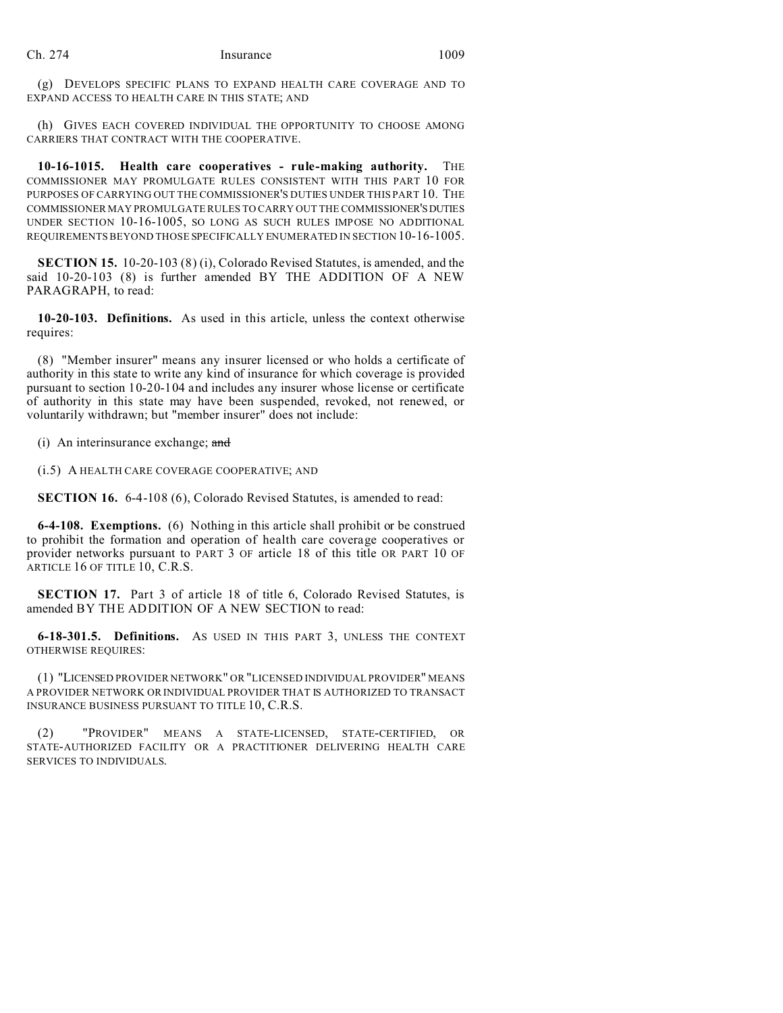(g) DEVELOPS SPECIFIC PLANS TO EXPAND HEALTH CARE COVERAGE AND TO EXPAND ACCESS TO HEALTH CARE IN THIS STATE; AND

(h) GIVES EACH COVERED INDIVIDUAL THE OPPORTUNITY TO CHOOSE AMONG CARRIERS THAT CONTRACT WITH THE COOPERATIVE.

**10-16-1015. Health care cooperatives - rule-making authority.** THE COMMISSIONER MAY PROMULGATE RULES CONSISTENT WITH THIS PART 10 FOR PURPOSES OF CARRYING OUT THE COMMISSIONER'S DUTIES UNDER THIS PART 10. THE COMMISSIONER MAY PROMULGATE RULES TO CARRY OUT THE COMMISSIONER'SDUTIES UNDER SECTION 10-16-1005, SO LONG AS SUCH RULES IMPOSE NO ADDITIONAL REQUIREMENTS BEYOND THOSE SPECIFICALLY ENUMERATED IN SECTION 10-16-1005.

**SECTION 15.** 10-20-103 (8) (i), Colorado Revised Statutes, is amended, and the said 10-20-103 (8) is further amended BY THE ADDITION OF A NEW PARAGRAPH, to read:

**10-20-103. Definitions.** As used in this article, unless the context otherwise requires:

(8) "Member insurer" means any insurer licensed or who holds a certificate of authority in this state to write any kind of insurance for which coverage is provided pursuant to section 10-20-104 and includes any insurer whose license or certificate of authority in this state may have been suspended, revoked, not renewed, or voluntarily withdrawn; but "member insurer" does not include:

(i) An interinsurance exchange; and

(i.5) A HEALTH CARE COVERAGE COOPERATIVE; AND

**SECTION 16.** 6-4-108 (6), Colorado Revised Statutes, is amended to read:

**6-4-108. Exemptions.** (6) Nothing in this article shall prohibit or be construed to prohibit the formation and operation of health care coverage cooperatives or provider networks pursuant to PART 3 OF article 18 of this title OR PART 10 OF ARTICLE 16 OF TITLE 10, C.R.S.

**SECTION 17.** Part 3 of article 18 of title 6, Colorado Revised Statutes, is amended BY THE ADDITION OF A NEW SECTION to read:

**6-18-301.5. Definitions.** AS USED IN THIS PART 3, UNLESS THE CONTEXT OTHERWISE REQUIRES:

(1) "LICENSED PROVIDER NETWORK" OR "LICENSED INDIVIDUAL PROVIDER" MEANS A PROVIDER NETWORK OR INDIVIDUAL PROVIDER THAT IS AUTHORIZED TO TRANSACT INSURANCE BUSINESS PURSUANT TO TITLE 10, C.R.S.

(2) "PROVIDER" MEANS A STATE-LICENSED, STATE-CERTIFIED, OR STATE-AUTHORIZED FACILITY OR A PRACTITIONER DELIVERING HEALTH CARE SERVICES TO INDIVIDUALS.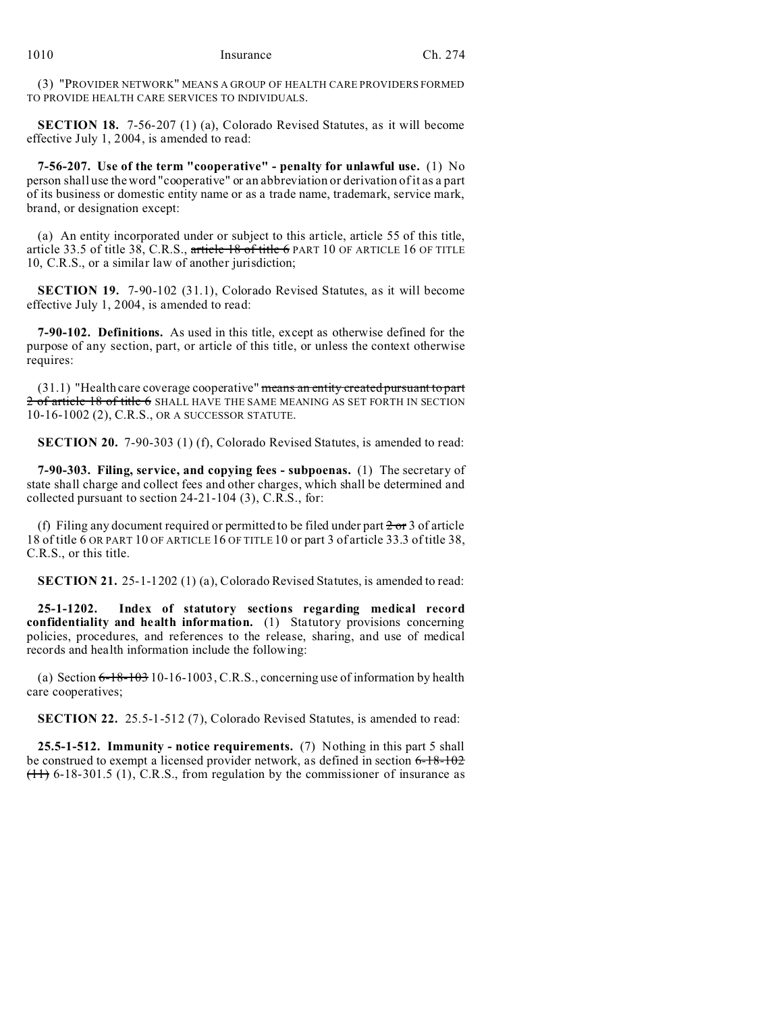(3) "PROVIDER NETWORK" MEANS A GROUP OF HEALTH CARE PROVIDERS FORMED TO PROVIDE HEALTH CARE SERVICES TO INDIVIDUALS.

**SECTION 18.** 7-56-207 (1) (a), Colorado Revised Statutes, as it will become effective July 1, 2004, is amended to read:

**7-56-207. Use of the term "cooperative" - penalty for unlawful use.** (1) No person shall use the word "cooperative" or an abbreviation or derivation of it as a part of its business or domestic entity name or as a trade name, trademark, service mark, brand, or designation except:

(a) An entity incorporated under or subject to this article, article 55 of this title, article 33.5 of title 38, C.R.S., article  $18$  of title 6 PART 10 OF ARTICLE 16 OF TITLE 10, C.R.S., or a similar law of another jurisdiction;

**SECTION 19.** 7-90-102 (31.1), Colorado Revised Statutes, as it will become effective July 1, 2004, is amended to read:

**7-90-102. Definitions.** As used in this title, except as otherwise defined for the purpose of any section, part, or article of this title, or unless the context otherwise requires:

 $(31.1)$  "Health care coverage cooperative" means an entity created pursuant to part 2 of article 18 of title 6 SHALL HAVE THE SAME MEANING AS SET FORTH IN SECTION 10-16-1002 (2), C.R.S., OR A SUCCESSOR STATUTE.

**SECTION 20.** 7-90-303 (1) (f), Colorado Revised Statutes, is amended to read:

**7-90-303. Filing, service, and copying fees - subpoenas.** (1) The secretary of state shall charge and collect fees and other charges, which shall be determined and collected pursuant to section 24-21-104 (3), C.R.S., for:

(f) Filing any document required or permitted to be filed under part  $2 \text{ or } 3$  of article 18 of title 6 OR PART 10 OF ARTICLE 16 OF TITLE 10 or part 3 of article 33.3 of title 38, C.R.S., or this title.

**SECTION 21.** 25-1-1202 (1) (a), Colorado Revised Statutes, is amended to read:

**25-1-1202. Index of statutory sections regarding medical record confidentiality and health information.** (1) Statutory provisions concerning policies, procedures, and references to the release, sharing, and use of medical records and health information include the following:

(a) Section  $6-18-103$  10-16-1003, C.R.S., concerning use of information by health care cooperatives;

**SECTION 22.** 25.5-1-512 (7), Colorado Revised Statutes, is amended to read:

**25.5-1-512. Immunity - notice requirements.** (7) Nothing in this part 5 shall be construed to exempt a licensed provider network, as defined in section 6-18-102  $(11)$  6-18-301.5 (1), C.R.S., from regulation by the commissioner of insurance as